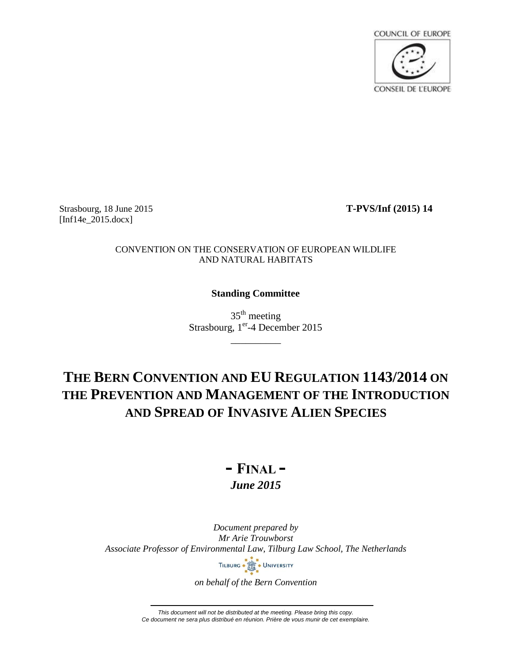

Strasbourg, 18 June 2015 **T-PVS/Inf (2015) 14** [Inf14e\_2015.docx]

## CONVENTION ON THE CONSERVATION OF EUROPEAN WILDLIFE AND NATURAL HABITATS

## **Standing Committee**

 $35<sup>th</sup>$  meeting Strasbourg, 1<sup>er</sup>-4 December 2015

\_\_\_\_\_\_\_\_\_\_

# **THE BERN CONVENTION AND EU REGULATION 1143/2014 ON THE PREVENTION AND MANAGEMENT OF THE INTRODUCTION AND SPREAD OF INVASIVE ALIEN SPECIES**

## **- FINAL -** *June 2015*

*Document prepared by Mr Arie Trouwborst Associate Professor of Environmental Law, Tilburg Law School, The Netherlands*



*on behalf of the Bern Convention*

*This document will not be distributed at the meeting. Please bring this copy. Ce document ne sera plus distribué en réunion. Prière de vous munir de cet exemplaire.*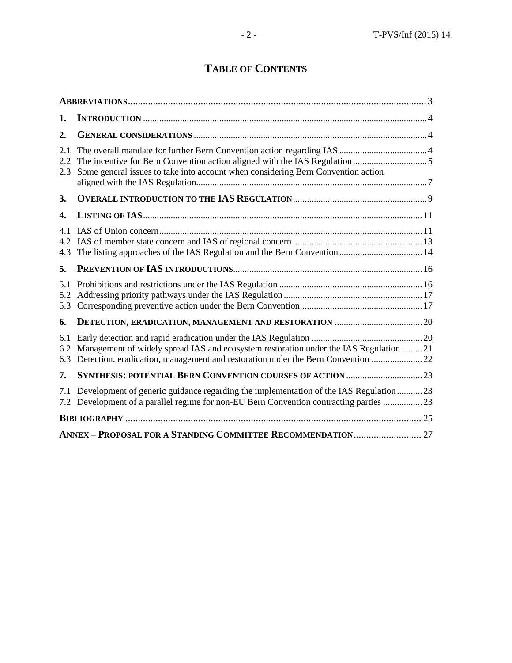# **TABLE OF CONTENTS**

| 1.                |                                                                                                                                                                             |  |
|-------------------|-----------------------------------------------------------------------------------------------------------------------------------------------------------------------------|--|
| 2.                |                                                                                                                                                                             |  |
| 2.1<br>2.2<br>2.3 | Some general issues to take into account when considering Bern Convention action                                                                                            |  |
| 3.                |                                                                                                                                                                             |  |
| 4.                |                                                                                                                                                                             |  |
| 4.1<br>4.2<br>4.3 |                                                                                                                                                                             |  |
| 5.                |                                                                                                                                                                             |  |
| 5.1<br>5.2<br>5.3 |                                                                                                                                                                             |  |
| 6.                |                                                                                                                                                                             |  |
| 6.1<br>6.2<br>6.3 | Management of widely spread IAS and ecosystem restoration under the IAS Regulation  21<br>Detection, eradication, management and restoration under the Bern Convention  22  |  |
| 7.                |                                                                                                                                                                             |  |
| 7.1<br>7.2        | Development of generic guidance regarding the implementation of the IAS Regulation 23<br>Development of a parallel regime for non-EU Bern Convention contracting parties 23 |  |
|                   |                                                                                                                                                                             |  |
|                   |                                                                                                                                                                             |  |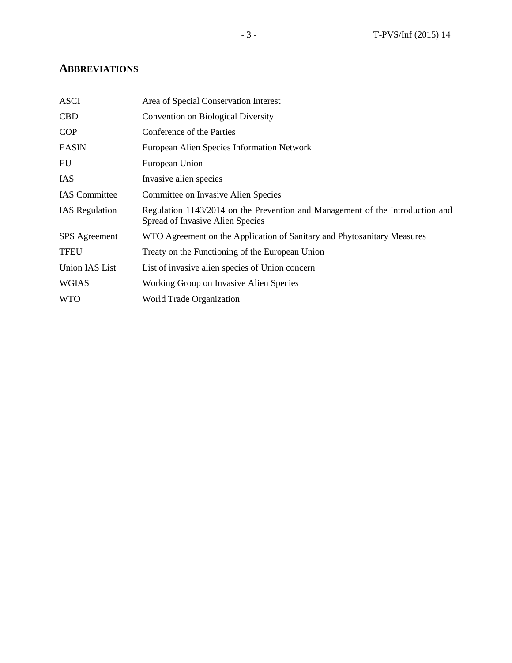## **ABBREVIATIONS**

| <b>ASCI</b>           | Area of Special Conservation Interest                                                                             |
|-----------------------|-------------------------------------------------------------------------------------------------------------------|
| <b>CBD</b>            | Convention on Biological Diversity                                                                                |
| <b>COP</b>            | Conference of the Parties                                                                                         |
| <b>EASIN</b>          | European Alien Species Information Network                                                                        |
| EU                    | European Union                                                                                                    |
| <b>IAS</b>            | Invasive alien species                                                                                            |
| <b>IAS</b> Committee  | Committee on Invasive Alien Species                                                                               |
| <b>IAS</b> Regulation | Regulation 1143/2014 on the Prevention and Management of the Introduction and<br>Spread of Invasive Alien Species |
| <b>SPS</b> Agreement  | WTO Agreement on the Application of Sanitary and Phytosanitary Measures                                           |
| <b>TFEU</b>           | Treaty on the Functioning of the European Union                                                                   |
| <b>Union IAS List</b> | List of invasive alien species of Union concern                                                                   |
| <b>WGIAS</b>          | Working Group on Invasive Alien Species                                                                           |
| <b>WTO</b>            | World Trade Organization                                                                                          |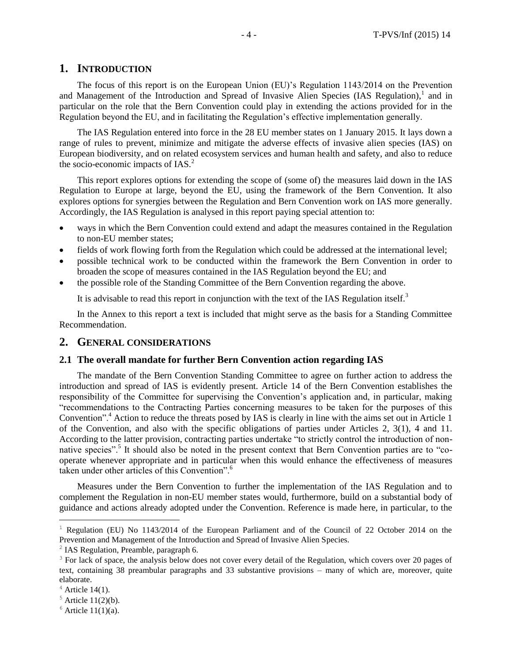## **1. INTRODUCTION**

The focus of this report is on the European Union (EU)'s Regulation 1143/2014 on the Prevention and Management of the Introduction and Spread of Invasive Alien Species (IAS Regulation), $<sup>1</sup>$  and in</sup> particular on the role that the Bern Convention could play in extending the actions provided for in the Regulation beyond the EU, and in facilitating the Regulation's effective implementation generally.

The IAS Regulation entered into force in the 28 EU member states on 1 January 2015. It lays down a range of rules to prevent, minimize and mitigate the adverse effects of invasive alien species (IAS) on European biodiversity, and on related ecosystem services and human health and safety, and also to reduce the socio-economic impacts of  $IAS.<sup>2</sup>$ 

This report explores options for extending the scope of (some of) the measures laid down in the IAS Regulation to Europe at large, beyond the EU, using the framework of the Bern Convention. It also explores options for synergies between the Regulation and Bern Convention work on IAS more generally. Accordingly, the IAS Regulation is analysed in this report paying special attention to:

- ways in which the Bern Convention could extend and adapt the measures contained in the Regulation to non-EU member states;
- fields of work flowing forth from the Regulation which could be addressed at the international level;
- possible technical work to be conducted within the framework the Bern Convention in order to broaden the scope of measures contained in the IAS Regulation beyond the EU; and
- the possible role of the Standing Committee of the Bern Convention regarding the above.

It is advisable to read this report in conjunction with the text of the IAS Regulation itself.<sup>3</sup>

In the Annex to this report a text is included that might serve as the basis for a Standing Committee Recommendation.

#### **2. GENERAL CONSIDERATIONS**

## **2.1 The overall mandate for further Bern Convention action regarding IAS**

The mandate of the Bern Convention Standing Committee to agree on further action to address the introduction and spread of IAS is evidently present. Article 14 of the Bern Convention establishes the responsibility of the Committee for supervising the Convention's application and, in particular, making "recommendations to the Contracting Parties concerning measures to be taken for the purposes of this Convention".<sup>4</sup> Action to reduce the threats posed by IAS is clearly in line with the aims set out in Article 1 of the Convention, and also with the specific obligations of parties under Articles 2, 3(1), 4 and 11. According to the latter provision, contracting parties undertake "to strictly control the introduction of nonnative species".<sup>5</sup> It should also be noted in the present context that Bern Convention parties are to "cooperate whenever appropriate and in particular when this would enhance the effectiveness of measures taken under other articles of this Convention".<sup>6</sup>

Measures under the Bern Convention to further the implementation of the IAS Regulation and to complement the Regulation in non-EU member states would, furthermore, build on a substantial body of guidance and actions already adopted under the Convention. Reference is made here, in particular, to the

<sup>&</sup>lt;sup>1</sup> Regulation (EU) No 1143/2014 of the European Parliament and of the Council of 22 October 2014 on the Prevention and Management of the Introduction and Spread of Invasive Alien Species.

<sup>&</sup>lt;sup>2</sup> IAS Regulation, Preamble, paragraph 6.

 $3$  For lack of space, the analysis below does not cover every detail of the Regulation, which covers over 20 pages of text, containing 38 preambular paragraphs and 33 substantive provisions – many of which are, moreover, quite elaborate.

 $4$  Article 14(1).

 $5$  Article 11(2)(b).

 $6$  Article 11(1)(a).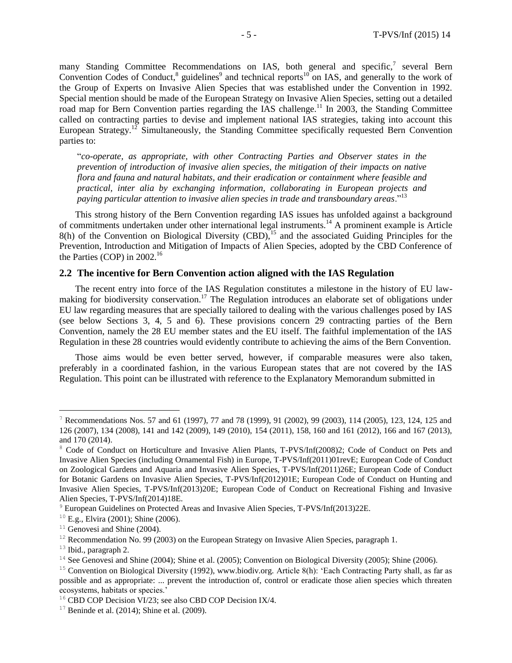many Standing Committee Recommendations on IAS, both general and specific,<sup>7</sup> several Bern Convention Codes of Conduct, ${}^{8}$  guidelines<sup>9</sup> and technical reports<sup>10</sup> on IAS, and generally to the work of the Group of Experts on Invasive Alien Species that was established under the Convention in 1992. Special mention should be made of the European Strategy on Invasive Alien Species, setting out a detailed road map for Bern Convention parties regarding the IAS challenge.<sup>11</sup> In 2003, the Standing Committee called on contracting parties to devise and implement national IAS strategies, taking into account this European Strategy.<sup>12</sup> Simultaneously, the Standing Committee specifically requested Bern Convention parties to:

"*co-operate, as appropriate, with other Contracting Parties and Observer states in the prevention of introduction of invasive alien species, the mitigation of their impacts on native flora and fauna and natural habitats, and their eradication or containment where feasible and practical, inter alia by exchanging information, collaborating in European projects and paying particular attention to invasive alien species in trade and transboundary areas*."<sup>13</sup>

This strong history of the Bern Convention regarding IAS issues has unfolded against a background of commitments undertaken under other international legal instruments.<sup>14</sup> A prominent example is Article  $8(h)$  of the Convention on Biological Diversity (CBD), <sup>15</sup> and the associated Guiding Principles for the Prevention, Introduction and Mitigation of Impacts of Alien Species, adopted by the CBD Conference of the Parties (COP) in  $2002<sup>16</sup>$ 

### **2.2 The incentive for Bern Convention action aligned with the IAS Regulation**

The recent entry into force of the IAS Regulation constitutes a milestone in the history of EU lawmaking for biodiversity conservation.<sup>17</sup> The Regulation introduces an elaborate set of obligations under EU law regarding measures that are specially tailored to dealing with the various challenges posed by IAS (see below Sections 3, 4, 5 and 6). These provisions concern 29 contracting parties of the Bern Convention, namely the 28 EU member states and the EU itself. The faithful implementation of the IAS Regulation in these 28 countries would evidently contribute to achieving the aims of the Bern Convention.

Those aims would be even better served, however, if comparable measures were also taken, preferably in a coordinated fashion, in the various European states that are not covered by the IAS Regulation. This point can be illustrated with reference to the Explanatory Memorandum submitted in

<sup>&</sup>lt;sup>7</sup> Recommendations Nos. 57 and 61 (1997), 77 and 78 (1999), 91 (2002), 99 (2003), 114 (2005), 123, 124, 125 and 126 (2007), 134 (2008), 141 and 142 (2009), 149 (2010), 154 (2011), 158, 160 and 161 (2012), 166 and 167 (2013), and 170 (2014).

<sup>&</sup>lt;sup>8</sup> Code of Conduct on Horticulture and Invasive Alien Plants, T-PVS/Inf(2008)2; Code of Conduct on Pets and Invasive Alien Species (including Ornamental Fish) in Europe, T-PVS/Inf(2011)01revE; European Code of Conduct on Zoological Gardens and Aquaria and Invasive Alien Species, T-PVS/Inf(2011)26E; European Code of Conduct for Botanic Gardens on Invasive Alien Species, T-PVS/Inf(2012)01E; European Code of Conduct on Hunting and Invasive Alien Species, T-PVS/Inf(2013)20E; European Code of Conduct on Recreational Fishing and Invasive Alien Species, T-PVS/Inf(2014)18E.

<sup>&</sup>lt;sup>9</sup> European Guidelines on Protected Areas and Invasive Alien Species, T-PVS/Inf(2013)22E.

 $10$  E.g., Elvira (2001); Shine (2006).

 $11$  Genovesi and Shine (2004).

 $12$  Recommendation No. 99 (2003) on the European Strategy on Invasive Alien Species, paragraph 1.

 $13$  Ibid., paragraph 2.

 $14$  See Genovesi and Shine (2004); Shine et al. (2005); Convention on Biological Diversity (2005); Shine (2006).

<sup>&</sup>lt;sup>15</sup> Convention on Biological Diversity (1992), www.biodiv.org. Article 8(h): 'Each Contracting Party shall, as far as possible and as appropriate: ... prevent the introduction of, control or eradicate those alien species which threaten ecosystems, habitats or species.'

<sup>&</sup>lt;sup>16</sup> CBD COP Decision VI/23; see also CBD COP Decision IX/4.

<sup>&</sup>lt;sup>17</sup> Beninde et al. (2014); Shine et al. (2009).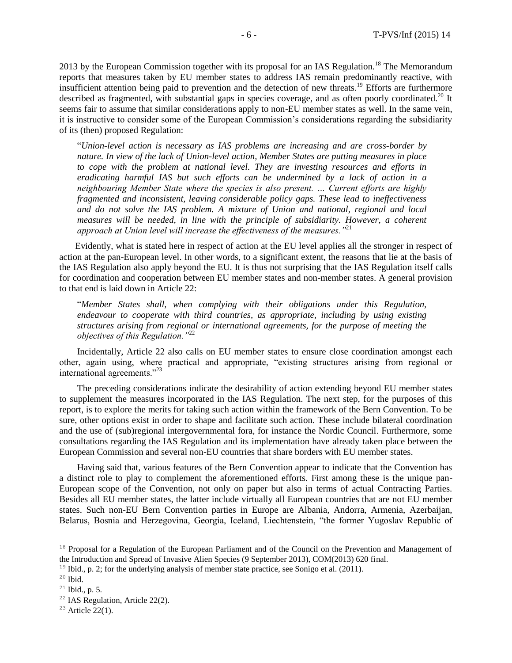2013 by the European Commission together with its proposal for an IAS Regulation.<sup>18</sup> The Memorandum reports that measures taken by EU member states to address IAS remain predominantly reactive, with insufficient attention being paid to prevention and the detection of new threats.<sup>19</sup> Efforts are furthermore described as fragmented, with substantial gaps in species coverage, and as often poorly coordinated.<sup>20</sup> It seems fair to assume that similar considerations apply to non-EU member states as well. In the same vein, it is instructive to consider some of the European Commission's considerations regarding the subsidiarity of its (then) proposed Regulation:

"*Union-level action is necessary as IAS problems are increasing and are cross-border by nature. In view of the lack of Union-level action, Member States are putting measures in place to cope with the problem at national level. They are investing resources and efforts in eradicating harmful IAS but such efforts can be undermined by a lack of action in a neighbouring Member State where the species is also present. … Current efforts are highly fragmented and inconsistent, leaving considerable policy gaps. These lead to ineffectiveness and do not solve the IAS problem. A mixture of Union and national, regional and local measures will be needed, in line with the principle of subsidiarity. However, a coherent approach at Union level will increase the effectiveness of the measures."*<sup>21</sup>

Evidently, what is stated here in respect of action at the EU level applies all the stronger in respect of action at the pan-European level. In other words, to a significant extent, the reasons that lie at the basis of the IAS Regulation also apply beyond the EU. It is thus not surprising that the IAS Regulation itself calls for coordination and cooperation between EU member states and non-member states. A general provision to that end is laid down in Article 22:

"*Member States shall, when complying with their obligations under this Regulation, endeavour to cooperate with third countries, as appropriate, including by using existing structures arising from regional or international agreements, for the purpose of meeting the objectives of this Regulation."*<sup>22</sup>

Incidentally, Article 22 also calls on EU member states to ensure close coordination amongst each other, again using, where practical and appropriate, "existing structures arising from regional or international agreements."<sup>23</sup>

The preceding considerations indicate the desirability of action extending beyond EU member states to supplement the measures incorporated in the IAS Regulation. The next step, for the purposes of this report, is to explore the merits for taking such action within the framework of the Bern Convention. To be sure, other options exist in order to shape and facilitate such action. These include bilateral coordination and the use of (sub)regional intergovernmental fora, for instance the Nordic Council. Furthermore, some consultations regarding the IAS Regulation and its implementation have already taken place between the European Commission and several non-EU countries that share borders with EU member states.

Having said that, various features of the Bern Convention appear to indicate that the Convention has a distinct role to play to complement the aforementioned efforts. First among these is the unique pan-European scope of the Convention, not only on paper but also in terms of actual Contracting Parties. Besides all EU member states, the latter include virtually all European countries that are not EU member states. Such non-EU Bern Convention parties in Europe are Albania, Andorra, Armenia, Azerbaijan, Belarus, Bosnia and Herzegovina, Georgia, Iceland, Liechtenstein, "the former Yugoslav Republic of

<sup>&</sup>lt;sup>18</sup> Proposal for a Regulation of the European Parliament and of the Council on the Prevention and Management of the Introduction and Spread of Invasive Alien Species (9 September 2013), COM(2013) 620 final.

<sup>&</sup>lt;sup>19</sup> Ibid., p. 2; for the underlying analysis of member state practice, see Sonigo et al. (2011).

 $20$  Ibid.

 $21$  Ibid., p. 5.

<sup>&</sup>lt;sup>22</sup> IAS Regulation, Article 22(2).

 $23$  Article 22(1).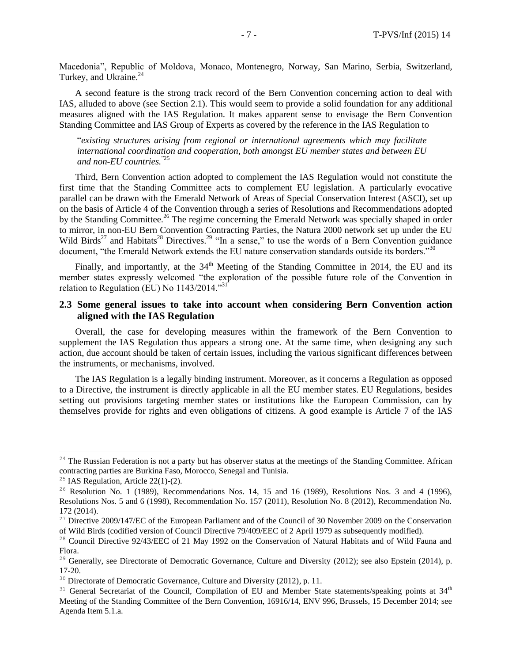Macedonia", Republic of Moldova, Monaco, Montenegro, Norway, San Marino, Serbia, Switzerland, Turkey, and Ukraine.<sup>24</sup>

A second feature is the strong track record of the Bern Convention concerning action to deal with IAS, alluded to above (see Section 2.1). This would seem to provide a solid foundation for any additional measures aligned with the IAS Regulation. It makes apparent sense to envisage the Bern Convention Standing Committee and IAS Group of Experts as covered by the reference in the IAS Regulation to

"*existing structures arising from regional or international agreements which may facilitate international coordination and cooperation, both amongst EU member states and between EU and non-EU countries.*"25

Third, Bern Convention action adopted to complement the IAS Regulation would not constitute the first time that the Standing Committee acts to complement EU legislation. A particularly evocative parallel can be drawn with the Emerald Network of Areas of Special Conservation Interest (ASCI), set up on the basis of Article 4 of the Convention through a series of Resolutions and Recommendations adopted by the Standing Committee.<sup>26</sup> The regime concerning the Emerald Network was specially shaped in order to mirror, in non-EU Bern Convention Contracting Parties, the Natura 2000 network set up under the EU Wild Birds<sup>27</sup> and Habitats<sup>28</sup> Directives.<sup>29</sup> "In a sense," to use the words of a Bern Convention guidance document, "the Emerald Network extends the EU nature conservation standards outside its borders."<sup>30</sup>

Finally, and importantly, at the  $34<sup>th</sup>$  Meeting of the Standing Committee in 2014, the EU and its member states expressly welcomed "the exploration of the possible future role of the Convention in relation to Regulation (EU) No 1143/2014."<sup>31</sup>

## **2.3 Some general issues to take into account when considering Bern Convention action aligned with the IAS Regulation**

Overall, the case for developing measures within the framework of the Bern Convention to supplement the IAS Regulation thus appears a strong one. At the same time, when designing any such action, due account should be taken of certain issues, including the various significant differences between the instruments, or mechanisms, involved.

The IAS Regulation is a legally binding instrument. Moreover, as it concerns a Regulation as opposed to a Directive, the instrument is directly applicable in all the EU member states. EU Regulations, besides setting out provisions targeting member states or institutions like the European Commission, can by themselves provide for rights and even obligations of citizens. A good example is Article 7 of the IAS

 $24$  The Russian Federation is not a party but has observer status at the meetings of the Standing Committee. African contracting parties are Burkina Faso, Morocco, Senegal and Tunisia.

<sup>&</sup>lt;sup>25</sup> IAS Regulation, Article  $22(1)-(2)$ .

 $26$  Resolution No. 1 (1989), Recommendations Nos. 14, 15 and 16 (1989), Resolutions Nos. 3 and 4 (1996), Resolutions Nos. 5 and 6 (1998), Recommendation No. 157 (2011), Resolution No. 8 (2012), Recommendation No. 172 (2014).

<sup>&</sup>lt;sup>27</sup> Directive 2009/147/EC of the European Parliament and of the Council of 30 November 2009 on the Conservation of Wild Birds (codified version of Council Directive 79/409/EEC of 2 April 1979 as subsequently modified).

<sup>&</sup>lt;sup>28</sup> Council Directive 92/43/EEC of 21 May 1992 on the Conservation of Natural Habitats and of Wild Fauna and Flora.

<sup>&</sup>lt;sup>29</sup> Generally, see Directorate of Democratic Governance, Culture and Diversity (2012); see also Epstein (2014), p. 17-20.

<sup>&</sup>lt;sup>30</sup> Directorate of Democratic Governance, Culture and Diversity (2012), p. 11.

<sup>&</sup>lt;sup>31</sup> General Secretariat of the Council, Compilation of EU and Member State statements/speaking points at 34<sup>th</sup> Meeting of the Standing Committee of the Bern Convention, 16916/14, ENV 996, Brussels, 15 December 2014; see Agenda Item 5.1.a.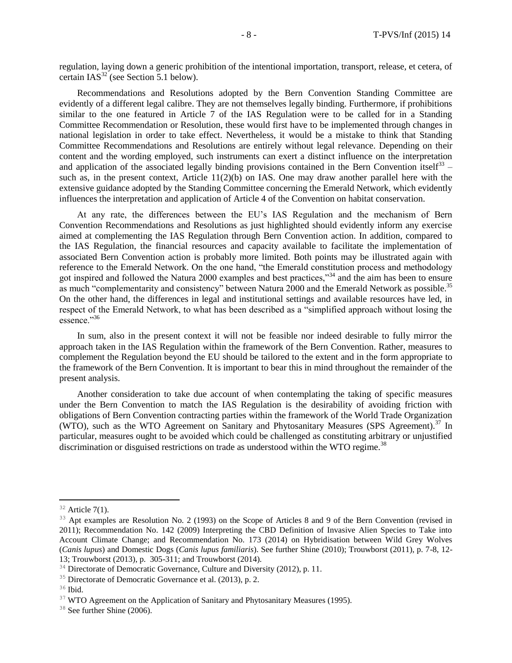regulation, laying down a generic prohibition of the intentional importation, transport, release, et cetera, of certain  $IAS^{32}$  (see Section 5.1 below).

Recommendations and Resolutions adopted by the Bern Convention Standing Committee are evidently of a different legal calibre. They are not themselves legally binding. Furthermore, if prohibitions similar to the one featured in Article 7 of the IAS Regulation were to be called for in a Standing Committee Recommendation or Resolution, these would first have to be implemented through changes in national legislation in order to take effect. Nevertheless, it would be a mistake to think that Standing Committee Recommendations and Resolutions are entirely without legal relevance. Depending on their content and the wording employed, such instruments can exert a distinct influence on the interpretation and application of the associated legally binding provisions contained in the Bern Convention itself<sup>33</sup> – such as, in the present context, Article  $11(2)(b)$  on IAS. One may draw another parallel here with the extensive guidance adopted by the Standing Committee concerning the Emerald Network, which evidently influences the interpretation and application of Article 4 of the Convention on habitat conservation.

At any rate, the differences between the EU's IAS Regulation and the mechanism of Bern Convention Recommendations and Resolutions as just highlighted should evidently inform any exercise aimed at complementing the IAS Regulation through Bern Convention action. In addition, compared to the IAS Regulation, the financial resources and capacity available to facilitate the implementation of associated Bern Convention action is probably more limited. Both points may be illustrated again with reference to the Emerald Network. On the one hand, "the Emerald constitution process and methodology got inspired and followed the Natura 2000 examples and best practices,"<sup>34</sup> and the aim has been to ensure as much "complementarity and consistency" between Natura 2000 and the Emerald Network as possible.<sup>35</sup> On the other hand, the differences in legal and institutional settings and available resources have led, in respect of the Emerald Network, to what has been described as a "simplified approach without losing the essence."<sup>36</sup>

In sum, also in the present context it will not be feasible nor indeed desirable to fully mirror the approach taken in the IAS Regulation within the framework of the Bern Convention. Rather, measures to complement the Regulation beyond the EU should be tailored to the extent and in the form appropriate to the framework of the Bern Convention. It is important to bear this in mind throughout the remainder of the present analysis.

Another consideration to take due account of when contemplating the taking of specific measures under the Bern Convention to match the IAS Regulation is the desirability of avoiding friction with obligations of Bern Convention contracting parties within the framework of the World Trade Organization (WTO), such as the WTO Agreement on Sanitary and Phytosanitary Measures (SPS Agreement).<sup>37</sup> In particular, measures ought to be avoided which could be challenged as constituting arbitrary or unjustified discrimination or disguised restrictions on trade as understood within the WTO regime.<sup>38</sup>

 $32$  Article 7(1).

<sup>&</sup>lt;sup>33</sup> Apt examples are Resolution No. 2 (1993) on the Scope of Articles 8 and 9 of the Bern Convention (revised in 2011); Recommendation No. 142 (2009) Interpreting the CBD Definition of Invasive Alien Species to Take into Account Climate Change; and Recommendation No. 173 (2014) on Hybridisation between Wild Grey Wolves (*Canis lupus*) and Domestic Dogs (*Canis lupus familiaris*). See further Shine (2010); Trouwborst (2011), p. 7-8, 12- 13; Trouwborst (2013), p. 305-311; and Trouwborst (2014).

<sup>&</sup>lt;sup>34</sup> Directorate of Democratic Governance, Culture and Diversity (2012), p. 11.

<sup>&</sup>lt;sup>35</sup> Directorate of Democratic Governance et al. (2013), p. 2.

<sup>&</sup>lt;sup>36</sup> Ibid.

 $37$  WTO Agreement on the Application of Sanitary and Phytosanitary Measures (1995).

<sup>&</sup>lt;sup>38</sup> See further Shine (2006).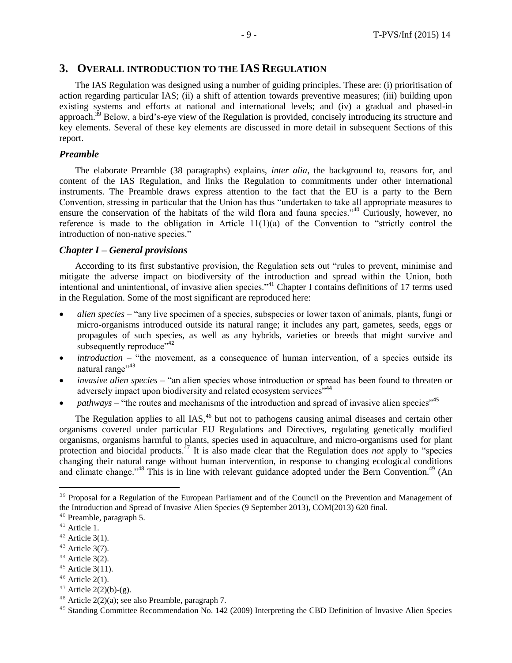## **3. OVERALL INTRODUCTION TO THE IAS REGULATION**

The IAS Regulation was designed using a number of guiding principles. These are: (i) prioritisation of action regarding particular IAS; (ii) a shift of attention towards preventive measures; (iii) building upon existing systems and efforts at national and international levels; and (iv) a gradual and phased-in approach.<sup>39</sup> Below, a bird's-eye view of the Regulation is provided, concisely introducing its structure and key elements. Several of these key elements are discussed in more detail in subsequent Sections of this report.

#### *Preamble*

The elaborate Preamble (38 paragraphs) explains, *inter alia*, the background to, reasons for, and content of the IAS Regulation, and links the Regulation to commitments under other international instruments. The Preamble draws express attention to the fact that the EU is a party to the Bern Convention, stressing in particular that the Union has thus "undertaken to take all appropriate measures to ensure the conservation of the habitats of the wild flora and fauna species."<sup>40</sup> Curiously, however, no reference is made to the obligation in Article 11(1)(a) of the Convention to "strictly control the introduction of non-native species."

#### *Chapter I – General provisions*

According to its first substantive provision, the Regulation sets out "rules to prevent, minimise and mitigate the adverse impact on biodiversity of the introduction and spread within the Union, both intentional and unintentional, of invasive alien species."<sup>41</sup> Chapter I contains definitions of 17 terms used in the Regulation. Some of the most significant are reproduced here:

- *alien species* "any live specimen of a species, subspecies or lower taxon of animals, plants, fungi or micro-organisms introduced outside its natural range; it includes any part, gametes, seeds, eggs or propagules of such species, as well as any hybrids, varieties or breeds that might survive and subsequently reproduce"<sup>42</sup>
- *introduction* "the movement, as a consequence of human intervention, of a species outside its natural range"<sup>43</sup>
- *invasive alien species* "an alien species whose introduction or spread has been found to threaten or adversely impact upon biodiversity and related ecosystem services<sup>"44</sup>
- *pathways* "the routes and mechanisms of the introduction and spread of invasive alien species"<sup>45</sup>

The Regulation applies to all IAS,<sup>46</sup> but not to pathogens causing animal diseases and certain other organisms covered under particular EU Regulations and Directives, regulating genetically modified organisms, organisms harmful to plants, species used in aquaculture, and micro-organisms used for plant protection and biocidal products.<sup>47</sup> It is also made clear that the Regulation does *not* apply to "species changing their natural range without human intervention, in response to changing ecological conditions and climate change."<sup>48</sup> This is in line with relevant guidance adopted under the Bern Convention.<sup>49</sup> (An

<sup>&</sup>lt;sup>39</sup> Proposal for a Regulation of the European Parliament and of the Council on the Prevention and Management of the Introduction and Spread of Invasive Alien Species (9 September 2013), COM(2013) 620 final.

<sup>40</sup> Preamble, paragraph 5.

<sup>&</sup>lt;sup>41</sup> Article 1.

 $42$  Article 3(1).

 $43$  Article 3(7).

 $44$  Article 3(2).

 $45$  Article 3(11).

 $46$  Article 2(1).

 $47$  Article 2(2)(b)-(g).

<sup>&</sup>lt;sup>48</sup> Article  $2(2)(a)$ ; see also Preamble, paragraph 7.

<sup>&</sup>lt;sup>49</sup> Standing Committee Recommendation No. 142 (2009) Interpreting the CBD Definition of Invasive Alien Species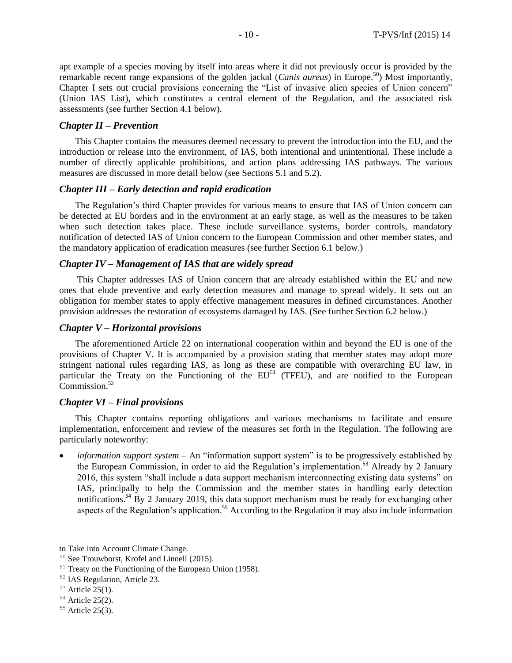apt example of a species moving by itself into areas where it did not previously occur is provided by the remarkable recent range expansions of the golden jackal (*Canis aureus*) in Europe.<sup>50</sup>) Most importantly, Chapter I sets out crucial provisions concerning the "List of invasive alien species of Union concern" (Union IAS List), which constitutes a central element of the Regulation, and the associated risk assessments (see further Section 4.1 below).

#### *Chapter II – Prevention*

This Chapter contains the measures deemed necessary to prevent the introduction into the EU, and the introduction or release into the environment, of IAS, both intentional and unintentional. These include a number of directly applicable prohibitions, and action plans addressing IAS pathways. The various measures are discussed in more detail below (see Sections 5.1 and 5.2).

#### *Chapter III – Early detection and rapid eradication*

The Regulation's third Chapter provides for various means to ensure that IAS of Union concern can be detected at EU borders and in the environment at an early stage, as well as the measures to be taken when such detection takes place. These include surveillance systems, border controls, mandatory notification of detected IAS of Union concern to the European Commission and other member states, and the mandatory application of eradication measures (see further Section 6.1 below.)

#### *Chapter IV – Management of IAS that are widely spread*

This Chapter addresses IAS of Union concern that are already established within the EU and new ones that elude preventive and early detection measures and manage to spread widely. It sets out an obligation for member states to apply effective management measures in defined circumstances. Another provision addresses the restoration of ecosystems damaged by IAS. (See further Section 6.2 below.)

#### *Chapter V – Horizontal provisions*

The aforementioned Article 22 on international cooperation within and beyond the EU is one of the provisions of Chapter V. It is accompanied by a provision stating that member states may adopt more stringent national rules regarding IAS, as long as these are compatible with overarching EU law, in particular the Treaty on the Functioning of the  $EU<sup>51</sup>$  (TFEU), and are notified to the European Commission.<sup>52</sup>

#### *Chapter VI – Final provisions*

This Chapter contains reporting obligations and various mechanisms to facilitate and ensure implementation, enforcement and review of the measures set forth in the Regulation. The following are particularly noteworthy:

*information support system* – An "information support system" is to be progressively established by the European Commission, in order to aid the Regulation's implementation.<sup>53</sup> Already by 2 January 2016, this system "shall include a data support mechanism interconnecting existing data systems" on IAS, principally to help the Commission and the member states in handling early detection notifications.<sup>54</sup> By 2 January 2019, this data support mechanism must be ready for exchanging other aspects of the Regulation's application.<sup>55</sup> According to the Regulation it may also include information

to Take into Account Climate Change.

<sup>50</sup> See Trouwborst, Krofel and Linnell (2015).

<sup>&</sup>lt;sup>51</sup> Treaty on the Functioning of the European Union (1958).

<sup>52</sup> IAS Regulation, Article 23.

 $53$  Article 25(1).

 $54$  Article 25(2).

<sup>&</sup>lt;sup>55</sup> Article 25(3).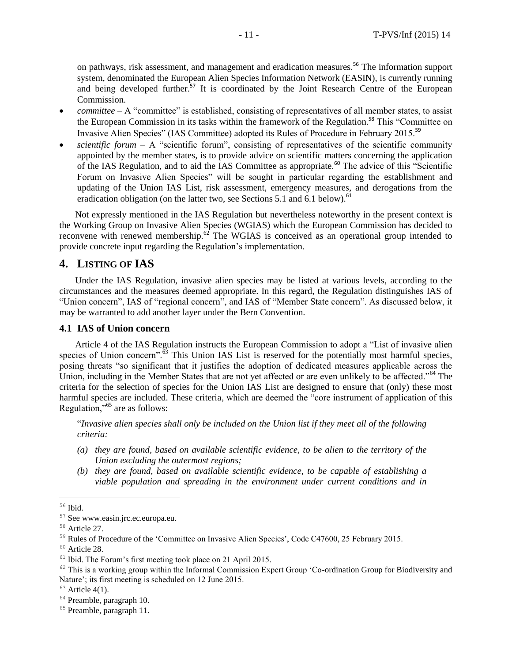on pathways, risk assessment, and management and eradication measures.<sup>56</sup> The information support system, denominated the European Alien Species Information Network (EASIN), is currently running and being developed further.<sup>57</sup> It is coordinated by the Joint Research Centre of the European Commission.

- *committee* A "committee" is established, consisting of representatives of all member states, to assist the European Commission in its tasks within the framework of the Regulation.<sup>58</sup> This "Committee on Invasive Alien Species" (IAS Committee) adopted its Rules of Procedure in February 2015.<sup>59</sup>
- *scientific forum*  A "scientific forum", consisting of representatives of the scientific community appointed by the member states, is to provide advice on scientific matters concerning the application of the IAS Regulation, and to aid the IAS Committee as appropriate.<sup>60</sup> The advice of this "Scientific Forum on Invasive Alien Species" will be sought in particular regarding the establishment and updating of the Union IAS List, risk assessment, emergency measures, and derogations from the eradication obligation (on the latter two, see Sections 5.1 and 6.1 below).<sup>61</sup>

Not expressly mentioned in the IAS Regulation but nevertheless noteworthy in the present context is the Working Group on Invasive Alien Species (WGIAS) which the European Commission has decided to reconvene with renewed membership. $62$  The WGIAS is conceived as an operational group intended to provide concrete input regarding the Regulation's implementation.

## **4. LISTING OF IAS**

Under the IAS Regulation, invasive alien species may be listed at various levels, according to the circumstances and the measures deemed appropriate. In this regard, the Regulation distinguishes IAS of "Union concern", IAS of "regional concern", and IAS of "Member State concern". As discussed below, it may be warranted to add another layer under the Bern Convention.

#### **4.1 IAS of Union concern**

Article 4 of the IAS Regulation instructs the European Commission to adopt a "List of invasive alien species of Union concern". $\frac{63}{63}$  This Union IAS List is reserved for the potentially most harmful species, posing threats "so significant that it justifies the adoption of dedicated measures applicable across the Union, including in the Member States that are not yet affected or are even unlikely to be affected."<sup>64</sup> The criteria for the selection of species for the Union IAS List are designed to ensure that (only) these most harmful species are included. These criteria, which are deemed the "core instrument of application of this Regulation,"<sup>65</sup> are as follows:

"*Invasive alien species shall only be included on the Union list if they meet all of the following criteria:*

- *(a) they are found, based on available scientific evidence, to be alien to the territory of the Union excluding the outermost regions;*
- *(b) they are found, based on available scientific evidence, to be capable of establishing a viable population and spreading in the environment under current conditions and in*

<sup>56</sup> Ibid.

<sup>57</sup> See www.easin.jrc.ec.europa.eu.

<sup>58</sup> Article 27.

<sup>&</sup>lt;sup>59</sup> Rules of Procedure of the 'Committee on Invasive Alien Species', Code C47600, 25 February 2015.

<sup>60</sup> Article 28.

<sup>&</sup>lt;sup>61</sup> Ibid. The Forum's first meeting took place on 21 April 2015.

 $62$  This is a working group within the Informal Commission Expert Group 'Co-ordination Group for Biodiversity and Nature'; its first meeting is scheduled on 12 June 2015.

 $63$  Article 4(1).

<sup>&</sup>lt;sup>64</sup> Preamble, paragraph 10.

<sup>&</sup>lt;sup>65</sup> Preamble, paragraph 11.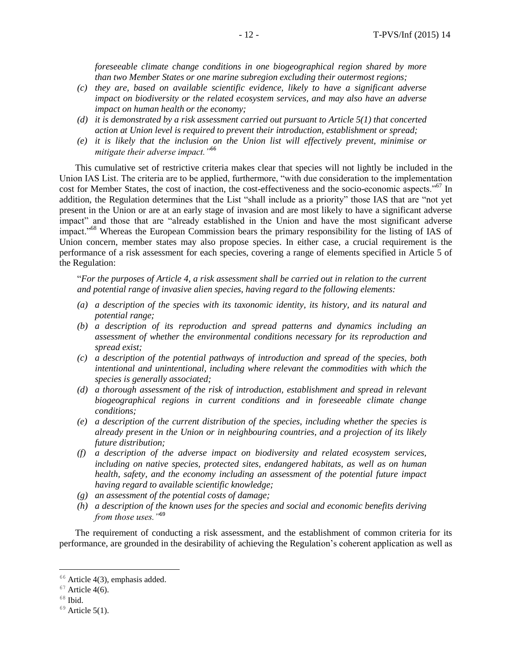*foreseeable climate change conditions in one biogeographical region shared by more than two Member States or one marine subregion excluding their outermost regions;*

- *(c) they are, based on available scientific evidence, likely to have a significant adverse impact on biodiversity or the related ecosystem services, and may also have an adverse impact on human health or the economy;*
- *(d) it is demonstrated by a risk assessment carried out pursuant to Article 5(1) that concerted action at Union level is required to prevent their introduction, establishment or spread;*
- *(e) it is likely that the inclusion on the Union list will effectively prevent, minimise or mitigate their adverse impact."*<sup>66</sup>

This cumulative set of restrictive criteria makes clear that species will not lightly be included in the Union IAS List. The criteria are to be applied, furthermore, "with due consideration to the implementation cost for Member States, the cost of inaction, the cost-effectiveness and the socio-economic aspects."<sup>67</sup> In addition, the Regulation determines that the List "shall include as a priority" those IAS that are "not yet present in the Union or are at an early stage of invasion and are most likely to have a significant adverse impact" and those that are "already established in the Union and have the most significant adverse impact."<sup>68</sup> Whereas the European Commission bears the primary responsibility for the listing of IAS of Union concern, member states may also propose species. In either case, a crucial requirement is the performance of a risk assessment for each species, covering a range of elements specified in Article 5 of the Regulation:

"*For the purposes of Article 4, a risk assessment shall be carried out in relation to the current and potential range of invasive alien species, having regard to the following elements:*

- *(a) a description of the species with its taxonomic identity, its history, and its natural and potential range;*
- *(b) a description of its reproduction and spread patterns and dynamics including an assessment of whether the environmental conditions necessary for its reproduction and spread exist;*
- *(c) a description of the potential pathways of introduction and spread of the species, both intentional and unintentional, including where relevant the commodities with which the species is generally associated;*
- *(d) a thorough assessment of the risk of introduction, establishment and spread in relevant biogeographical regions in current conditions and in foreseeable climate change conditions;*
- *(e) a description of the current distribution of the species, including whether the species is already present in the Union or in neighbouring countries, and a projection of its likely future distribution;*
- *(f) a description of the adverse impact on biodiversity and related ecosystem services, including on native species, protected sites, endangered habitats, as well as on human health, safety, and the economy including an assessment of the potential future impact having regard to available scientific knowledge;*
- *(g) an assessment of the potential costs of damage;*
- *(h) a description of the known uses for the species and social and economic benefits deriving from those uses."*<sup>69</sup>

The requirement of conducting a risk assessment, and the establishment of common criteria for its performance, are grounded in the desirability of achieving the Regulation's coherent application as well as

 $66$  Article 4(3), emphasis added.

 $67$  Article 4(6).

 $68$  Ibid.

 $69$  Article 5(1).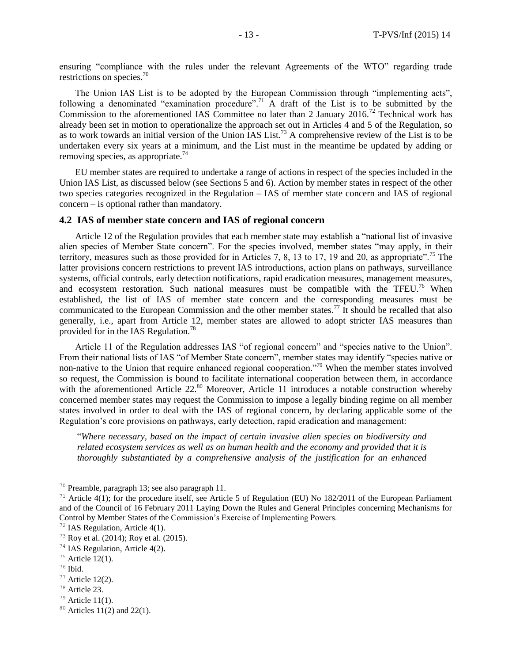ensuring "compliance with the rules under the relevant Agreements of the WTO" regarding trade restrictions on species.<sup>70</sup>

The Union IAS List is to be adopted by the European Commission through "implementing acts", following a denominated "examination procedure".<sup>71</sup> A draft of the List is to be submitted by the Commission to the aforementioned IAS Committee no later than 2 January 2016.<sup>72</sup> Technical work has already been set in motion to operationalize the approach set out in Articles 4 and 5 of the Regulation, so as to work towards an initial version of the Union IAS List.<sup>73</sup> A comprehensive review of the List is to be undertaken every six years at a minimum, and the List must in the meantime be updated by adding or removing species, as appropriate.<sup>74</sup>

EU member states are required to undertake a range of actions in respect of the species included in the Union IAS List, as discussed below (see Sections 5 and 6). Action by member states in respect of the other two species categories recognized in the Regulation – IAS of member state concern and IAS of regional concern – is optional rather than mandatory.

#### **4.2 IAS of member state concern and IAS of regional concern**

Article 12 of the Regulation provides that each member state may establish a "national list of invasive alien species of Member State concern". For the species involved, member states "may apply, in their territory, measures such as those provided for in Articles 7, 8, 13 to 17, 19 and 20, as appropriate".<sup>75</sup> The latter provisions concern restrictions to prevent IAS introductions, action plans on pathways, surveillance systems, official controls, early detection notifications, rapid eradication measures, management measures, and ecosystem restoration. Such national measures must be compatible with the TFEU.<sup>76</sup> When established, the list of IAS of member state concern and the corresponding measures must be communicated to the European Commission and the other member states.<sup>77</sup> It should be recalled that also generally, i.e., apart from Article 12, member states are allowed to adopt stricter IAS measures than provided for in the IAS Regulation.<sup>78</sup>

Article 11 of the Regulation addresses IAS "of regional concern" and "species native to the Union". From their national lists of IAS "of Member State concern", member states may identify "species native or non-native to the Union that require enhanced regional cooperation."<sup>79</sup> When the member states involved so request, the Commission is bound to facilitate international cooperation between them, in accordance with the aforementioned Article 22.<sup>80</sup> Moreover, Article 11 introduces a notable construction whereby concerned member states may request the Commission to impose a legally binding regime on all member states involved in order to deal with the IAS of regional concern, by declaring applicable some of the Regulation's core provisions on pathways, early detection, rapid eradication and management:

"*Where necessary, based on the impact of certain invasive alien species on biodiversity and related ecosystem services as well as on human health and the economy and provided that it is thoroughly substantiated by a comprehensive analysis of the justification for an enhanced* 

<sup>70</sup> Preamble, paragraph 13; see also paragraph 11.

<sup>&</sup>lt;sup>71</sup> Article 4(1); for the procedure itself, see Article 5 of Regulation (EU) No 182/2011 of the European Parliament and of the Council of 16 February 2011 Laying Down the Rules and General Principles concerning Mechanisms for Control by Member States of the Commission's Exercise of Implementing Powers.

<sup>72</sup> IAS Regulation, Article 4(1).

<sup>73</sup> Roy et al. (2014); Roy et al. (2015).

<sup>74</sup> IAS Regulation, Article 4(2).

 $75$  Article 12(1).

 $76$  Ibid.

 $77$  Article 12(2).

<sup>78</sup> Article 23.

 $79$  Article 11(1).

 $80$  Articles 11(2) and 22(1).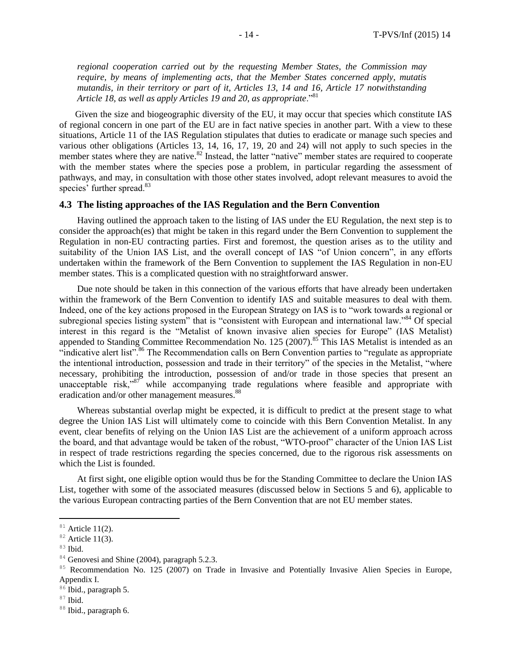*regional cooperation carried out by the requesting Member States, the Commission may require, by means of implementing acts, that the Member States concerned apply, mutatis mutandis, in their territory or part of it, Articles 13, 14 and 16, Article 17 notwithstanding Article 18, as well as apply Articles 19 and 20, as appropriate*."<sup>81</sup>

Given the size and biogeographic diversity of the EU, it may occur that species which constitute IAS of regional concern in one part of the EU are in fact native species in another part. With a view to these situations, Article 11 of the IAS Regulation stipulates that duties to eradicate or manage such species and various other obligations (Articles 13, 14, 16, 17, 19, 20 and 24) will not apply to such species in the member states where they are native.<sup>82</sup> Instead, the latter "native" member states are required to cooperate with the member states where the species pose a problem, in particular regarding the assessment of pathways, and may, in consultation with those other states involved, adopt relevant measures to avoid the species' further spread.<sup>83</sup>

#### **4.3 The listing approaches of the IAS Regulation and the Bern Convention**

Having outlined the approach taken to the listing of IAS under the EU Regulation, the next step is to consider the approach(es) that might be taken in this regard under the Bern Convention to supplement the Regulation in non-EU contracting parties. First and foremost, the question arises as to the utility and suitability of the Union IAS List, and the overall concept of IAS "of Union concern", in any efforts undertaken within the framework of the Bern Convention to supplement the IAS Regulation in non-EU member states. This is a complicated question with no straightforward answer.

Due note should be taken in this connection of the various efforts that have already been undertaken within the framework of the Bern Convention to identify IAS and suitable measures to deal with them. Indeed, one of the key actions proposed in the European Strategy on IAS is to "work towards a regional or subregional species listing system" that is "consistent with European and international law."<sup>84</sup> Of special interest in this regard is the "Metalist of known invasive alien species for Europe" (IAS Metalist) appended to Standing Committee Recommendation No. 125 (2007).<sup>85</sup> This IAS Metalist is intended as an "indicative alert list".<sup>86</sup> The Recommendation calls on Bern Convention parties to "regulate as appropriate" the intentional introduction, possession and trade in their territory" of the species in the Metalist, "where necessary, prohibiting the introduction, possession of and/or trade in those species that present an unacceptable risk,"87 while accompanying trade regulations where feasible and appropriate with eradication and/or other management measures.<sup>88</sup>

Whereas substantial overlap might be expected, it is difficult to predict at the present stage to what degree the Union IAS List will ultimately come to coincide with this Bern Convention Metalist. In any event, clear benefits of relying on the Union IAS List are the achievement of a uniform approach across the board, and that advantage would be taken of the robust, "WTO-proof" character of the Union IAS List in respect of trade restrictions regarding the species concerned, due to the rigorous risk assessments on which the List is founded.

At first sight, one eligible option would thus be for the Standing Committee to declare the Union IAS List, together with some of the associated measures (discussed below in Sections 5 and 6), applicable to the various European contracting parties of the Bern Convention that are not EU member states.

 $81$  Article 11(2).

 $82$  Article 11(3).

<sup>83</sup> Ibid.

<sup>&</sup>lt;sup>84</sup> Genovesi and Shine (2004), paragraph 5.2.3.

<sup>&</sup>lt;sup>85</sup> Recommendation No. 125 (2007) on Trade in Invasive and Potentially Invasive Alien Species in Europe, Appendix I.

<sup>&</sup>lt;sup>86</sup> Ibid., paragraph 5.

 $87$  Ibid.

<sup>88</sup> Ibid., paragraph 6.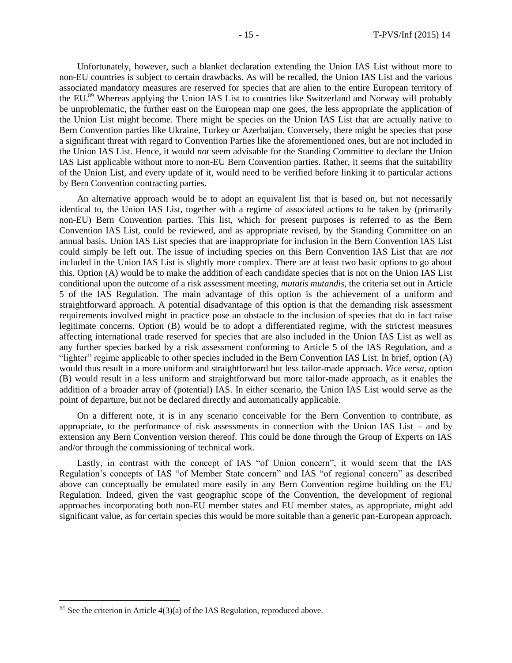Unfortunately, however, such a blanket declaration extending the Union IAS List without more to non-EU countries is subject to certain drawbacks. As will be recalled, the Union IAS List and the various associated mandatory measures are reserved for species that are alien to the entire European territory of the EU.<sup>89</sup> Whereas applying the Union IAS List to countries like Switzerland and Norway will probably be unproblematic, the further east on the European map one goes, the less appropriate the application of the Union List might become. There might be species on the Union IAS List that are actually native to Bern Convention parties like Ukraine, Turkey or Azerbaijan. Conversely, there might be species that pose a significant threat with regard to Convention Parties like the aforementioned ones, but are not included in the Union IAS List. Hence, it would *not* seem advisable for the Standing Committee to declare the Union IAS List applicable without more to non-EU Bern Convention parties. Rather, it seems that the suitability of the Union List, and every update of it, would need to be verified before linking it to particular actions by Bern Convention contracting parties.

An alternative approach would be to adopt an equivalent list that is based on, but not necessarily identical to, the Union IAS List, together with a regime of associated actions to be taken by (primarily non-EU) Bern Convention parties. This list, which for present purposes is referred to as the Bern Convention IAS List, could be reviewed, and as appropriate revised, by the Standing Committee on an annual basis. Union IAS List species that are inappropriate for inclusion in the Bern Convention IAS List could simply be left out. The issue of including species on this Bern Convention IAS List that are *not* included in the Union IAS List is slightly more complex. There are at least two basic options to go about this. Option (A) would be to make the addition of each candidate species that is not on the Union IAS List conditional upon the outcome of a risk assessment meeting, *mutatis mutandis*, the criteria set out in Article 5 of the IAS Regulation. The main advantage of this option is the achievement of a uniform and straightforward approach. A potential disadvantage of this option is that the demanding risk assessment requirements involved might in practice pose an obstacle to the inclusion of species that do in fact raise legitimate concerns. Option (B) would be to adopt a differentiated regime, with the strictest measures affecting international trade reserved for species that are also included in the Union IAS List as well as any further species backed by a risk assessment conforming to Article 5 of the IAS Regulation, and a "lighter" regime applicable to other species included in the Bern Convention IAS List. In brief, option (A) would thus result in a more uniform and straightforward but less tailor-made approach. *Vice versa*, option (B) would result in a less uniform and straightforward but more tailor-made approach, as it enables the addition of a broader array of (potential) IAS. In either scenario, the Union IAS List would serve as the point of departure, but not be declared directly and automatically applicable.

On a different note, it is in any scenario conceivable for the Bern Convention to contribute, as appropriate, to the performance of risk assessments in connection with the Union IAS List – and by extension any Bern Convention version thereof. This could be done through the Group of Experts on IAS and/or through the commissioning of technical work.

Lastly, in contrast with the concept of IAS "of Union concern", it would seem that the IAS Regulation's concepts of IAS "of Member State concern" and IAS "of regional concern" as described above can conceptually be emulated more easily in any Bern Convention regime building on the EU Regulation. Indeed, given the vast geographic scope of the Convention, the development of regional approaches incorporating both non-EU member states and EU member states, as appropriate, might add significant value, as for certain species this would be more suitable than a generic pan-European approach.

 $89$  See the criterion in Article 4(3)(a) of the IAS Regulation, reproduced above.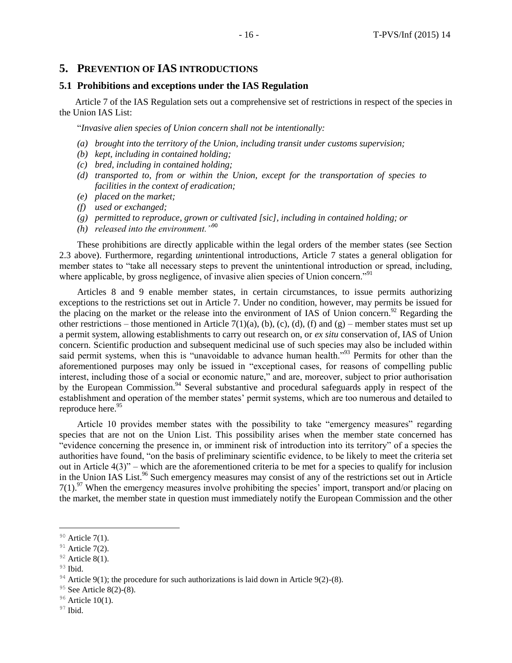## **5. PREVENTION OF IAS INTRODUCTIONS**

#### **5.1 Prohibitions and exceptions under the IAS Regulation**

Article 7 of the IAS Regulation sets out a comprehensive set of restrictions in respect of the species in the Union IAS List:

"*Invasive alien species of Union concern shall not be intentionally:*

- *(a) brought into the territory of the Union, including transit under customs supervision;*
- *(b) kept, including in contained holding;*
- *(c) bred, including in contained holding;*
- *(d) transported to, from or within the Union, except for the transportation of species to facilities in the context of eradication;*
- *(e) placed on the market;*
- *(f) used or exchanged;*
- *(g) permitted to reproduce, grown or cultivated [sic], including in contained holding; or*
- *(h) released into the environment."*<sup>90</sup>

These prohibitions are directly applicable within the legal orders of the member states (see Section 2.3 above). Furthermore, regarding *un*intentional introductions, Article 7 states a general obligation for member states to "take all necessary steps to prevent the unintentional introduction or spread, including, where applicable, by gross negligence, of invasive alien species of Union concern."<sup>91</sup>

Articles 8 and 9 enable member states, in certain circumstances, to issue permits authorizing exceptions to the restrictions set out in Article 7. Under no condition, however, may permits be issued for the placing on the market or the release into the environment of IAS of Union concern.<sup>92</sup> Regarding the other restrictions – those mentioned in Article 7(1)(a), (b), (c), (d), (f) and (g) – member states must set up a permit system, allowing establishments to carry out research on, or *ex situ* conservation of, IAS of Union concern. Scientific production and subsequent medicinal use of such species may also be included within said permit systems, when this is "unavoidable to advance human health."<sup>93</sup> Permits for other than the aforementioned purposes may only be issued in "exceptional cases, for reasons of compelling public interest, including those of a social or economic nature," and are, moreover, subject to prior authorisation by the European Commission.<sup>94</sup> Several substantive and procedural safeguards apply in respect of the establishment and operation of the member states' permit systems, which are too numerous and detailed to reproduce here.<sup>95</sup>

Article 10 provides member states with the possibility to take "emergency measures" regarding species that are not on the Union List. This possibility arises when the member state concerned has "evidence concerning the presence in, or imminent risk of introduction into its territory" of a species the authorities have found, "on the basis of preliminary scientific evidence, to be likely to meet the criteria set out in Article 4(3)" – which are the aforementioned criteria to be met for a species to qualify for inclusion in the Union IAS List.<sup>96</sup> Such emergency measures may consist of any of the restrictions set out in Article  $7(1)$ .<sup>97</sup> When the emergency measures involve prohibiting the species' import, transport and/or placing on the market, the member state in question must immediately notify the European Commission and the other

<sup>93</sup> Ibid.

 $\overline{a}$ 

 $97$  Ibid.

 $90$  Article 7(1).

 $91$  Article 7(2).

 $92$  Article 8(1).

 $94$  Article 9(1); the procedure for such authorizations is laid down in Article 9(2)-(8).

 $95$  See Article 8(2)-(8).

 $96$  Article 10(1).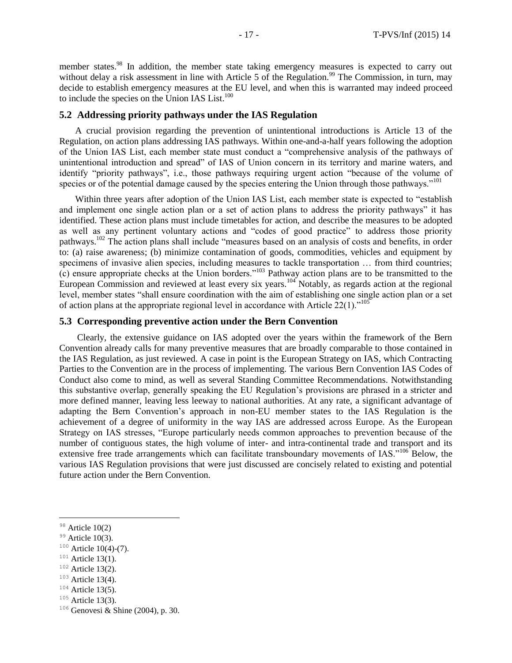member states.<sup>98</sup> In addition, the member state taking emergency measures is expected to carry out without delay a risk assessment in line with Article 5 of the Regulation.<sup>99</sup> The Commission, in turn, may decide to establish emergency measures at the EU level, and when this is warranted may indeed proceed to include the species on the Union IAS List. $100$ 

## **5.2 Addressing priority pathways under the IAS Regulation**

A crucial provision regarding the prevention of unintentional introductions is Article 13 of the Regulation, on action plans addressing IAS pathways. Within one-and-a-half years following the adoption of the Union IAS List, each member state must conduct a "comprehensive analysis of the pathways of unintentional introduction and spread" of IAS of Union concern in its territory and marine waters, and identify "priority pathways", i.e., those pathways requiring urgent action "because of the volume of species or of the potential damage caused by the species entering the Union through those pathways."<sup>101</sup>

Within three years after adoption of the Union IAS List, each member state is expected to "establish and implement one single action plan or a set of action plans to address the priority pathways" it has identified. These action plans must include timetables for action, and describe the measures to be adopted as well as any pertinent voluntary actions and "codes of good practice" to address those priority pathways.<sup>102</sup> The action plans shall include "measures based on an analysis of costs and benefits, in order to: (a) raise awareness; (b) minimize contamination of goods, commodities, vehicles and equipment by specimens of invasive alien species, including measures to tackle transportation ... from third countries;  $(c)$  ensure appropriate checks at the Union borders."<sup>103</sup> Pathway action plans are to be transmitted to the European Commission and reviewed at least every six years.<sup>104</sup> Notably, as regards action at the regional level, member states "shall ensure coordination with the aim of establishing one single action plan or a set of action plans at the appropriate regional level in accordance with Article  $22(1)$ ."<sup>105</sup>

#### **5.3 Corresponding preventive action under the Bern Convention**

Clearly, the extensive guidance on IAS adopted over the years within the framework of the Bern Convention already calls for many preventive measures that are broadly comparable to those contained in the IAS Regulation, as just reviewed. A case in point is the European Strategy on IAS, which Contracting Parties to the Convention are in the process of implementing. The various Bern Convention IAS Codes of Conduct also come to mind, as well as several Standing Committee Recommendations. Notwithstanding this substantive overlap, generally speaking the EU Regulation's provisions are phrased in a stricter and more defined manner, leaving less leeway to national authorities. At any rate, a significant advantage of adapting the Bern Convention's approach in non-EU member states to the IAS Regulation is the achievement of a degree of uniformity in the way IAS are addressed across Europe. As the European Strategy on IAS stresses, "Europe particularly needs common approaches to prevention because of the number of contiguous states, the high volume of inter- and intra-continental trade and transport and its extensive free trade arrangements which can facilitate transboundary movements of IAS."<sup>106</sup> Below, the various IAS Regulation provisions that were just discussed are concisely related to existing and potential future action under the Bern Convention.

 $\overline{a}$ 

 $102$  Article 13(2).

 $104$  Article 13(5).

 $98$  Article 10(2)

 $99$  Article 10(3).

 $100$  Article 10(4)-(7).

 $101$  Article 13(1).

 $103$  Article 13(4).

 $105$  Article 13(3).

<sup>106</sup> Genovesi & Shine (2004), p. 30.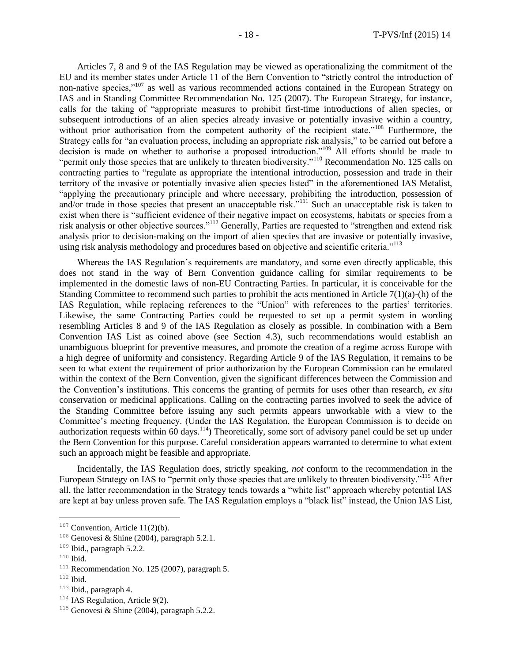Articles 7, 8 and 9 of the IAS Regulation may be viewed as operationalizing the commitment of the EU and its member states under Article 11 of the Bern Convention to "strictly control the introduction of non-native species,"<sup>107</sup> as well as various recommended actions contained in the European Strategy on IAS and in Standing Committee Recommendation No. 125 (2007). The European Strategy, for instance, calls for the taking of "appropriate measures to prohibit first-time introductions of alien species, or subsequent introductions of an alien species already invasive or potentially invasive within a country, without prior authorisation from the competent authority of the recipient state."<sup>108</sup> Furthermore, the Strategy calls for "an evaluation process, including an appropriate risk analysis," to be carried out before a decision is made on whether to authorise a proposed introduction."<sup>109</sup> All efforts should be made to "permit only those species that are unlikely to threaten biodiversity."<sup>110</sup> Recommendation No. 125 calls on contracting parties to "regulate as appropriate the intentional introduction, possession and trade in their territory of the invasive or potentially invasive alien species listed" in the aforementioned IAS Metalist, "applying the precautionary principle and where necessary, prohibiting the introduction, possession of and/or trade in those species that present an unacceptable risk."<sup>111</sup> Such an unacceptable risk is taken to exist when there is "sufficient evidence of their negative impact on ecosystems, habitats or species from a risk analysis or other objective sources."<sup>112</sup> Generally, Parties are requested to "strengthen and extend risk analysis prior to decision-making on the import of alien species that are invasive or potentially invasive, using risk analysis methodology and procedures based on objective and scientific criteria."<sup>113</sup>

Whereas the IAS Regulation's requirements are mandatory, and some even directly applicable, this does not stand in the way of Bern Convention guidance calling for similar requirements to be implemented in the domestic laws of non-EU Contracting Parties. In particular, it is conceivable for the Standing Committee to recommend such parties to prohibit the acts mentioned in Article  $7(1)(a)$ -(h) of the IAS Regulation, while replacing references to the "Union" with references to the parties' territories. Likewise, the same Contracting Parties could be requested to set up a permit system in wording resembling Articles 8 and 9 of the IAS Regulation as closely as possible. In combination with a Bern Convention IAS List as coined above (see Section 4.3), such recommendations would establish an unambiguous blueprint for preventive measures, and promote the creation of a regime across Europe with a high degree of uniformity and consistency. Regarding Article 9 of the IAS Regulation, it remains to be seen to what extent the requirement of prior authorization by the European Commission can be emulated within the context of the Bern Convention, given the significant differences between the Commission and the Convention's institutions. This concerns the granting of permits for uses other than research, *ex situ* conservation or medicinal applications. Calling on the contracting parties involved to seek the advice of the Standing Committee before issuing any such permits appears unworkable with a view to the Committee's meeting frequency. (Under the IAS Regulation, the European Commission is to decide on authorization requests within 60 days.<sup>114</sup>) Theoretically, some sort of advisory panel could be set up under the Bern Convention for this purpose. Careful consideration appears warranted to determine to what extent such an approach might be feasible and appropriate.

Incidentally, the IAS Regulation does, strictly speaking, *not* conform to the recommendation in the European Strategy on IAS to "permit only those species that are unlikely to threaten biodiversity."<sup>115</sup> After all, the latter recommendation in the Strategy tends towards a "white list" approach whereby potential IAS are kept at bay unless proven safe. The IAS Regulation employs a "black list" instead, the Union IAS List,

 $\overline{a}$ 

 $113$  Ibid., paragraph 4.

 $107$  Convention, Article 11(2)(b).

<sup>&</sup>lt;sup>108</sup> Genovesi & Shine (2004), paragraph 5.2.1.

<sup>109</sup> Ibid., paragraph 5.2.2.

 $110$  Ibid.

 $111$  Recommendation No. 125 (2007), paragraph 5.

 $112$  Ibid.

 $114$  IAS Regulation, Article 9(2).

<sup>&</sup>lt;sup>115</sup> Genovesi & Shine (2004), paragraph 5.2.2.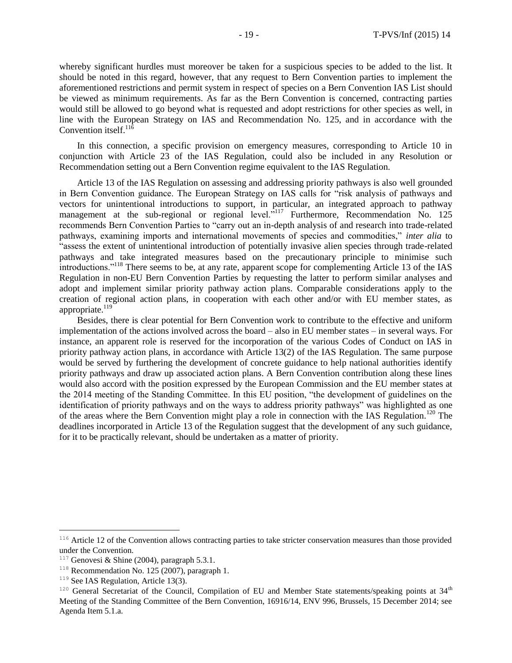whereby significant hurdles must moreover be taken for a suspicious species to be added to the list. It should be noted in this regard, however, that any request to Bern Convention parties to implement the aforementioned restrictions and permit system in respect of species on a Bern Convention IAS List should be viewed as minimum requirements. As far as the Bern Convention is concerned, contracting parties would still be allowed to go beyond what is requested and adopt restrictions for other species as well, in line with the European Strategy on IAS and Recommendation No. 125, and in accordance with the Convention itself. $^{11\bar{6}}$ 

In this connection, a specific provision on emergency measures, corresponding to Article 10 in conjunction with Article 23 of the IAS Regulation, could also be included in any Resolution or Recommendation setting out a Bern Convention regime equivalent to the IAS Regulation.

Article 13 of the IAS Regulation on assessing and addressing priority pathways is also well grounded in Bern Convention guidance. The European Strategy on IAS calls for "risk analysis of pathways and vectors for unintentional introductions to support, in particular, an integrated approach to pathway management at the sub-regional or regional level.<sup>5117</sup> Furthermore, Recommendation No. 125 recommends Bern Convention Parties to "carry out an in-depth analysis of and research into trade-related pathways, examining imports and international movements of species and commodities," *inter alia* to "assess the extent of unintentional introduction of potentially invasive alien species through trade-related pathways and take integrated measures based on the precautionary principle to minimise such introductions."<sup>118</sup> There seems to be, at any rate, apparent scope for complementing Article 13 of the IAS Regulation in non-EU Bern Convention Parties by requesting the latter to perform similar analyses and adopt and implement similar priority pathway action plans. Comparable considerations apply to the creation of regional action plans, in cooperation with each other and/or with EU member states, as appropriate. $119$ 

Besides, there is clear potential for Bern Convention work to contribute to the effective and uniform implementation of the actions involved across the board – also in EU member states – in several ways. For instance, an apparent role is reserved for the incorporation of the various Codes of Conduct on IAS in priority pathway action plans, in accordance with Article 13(2) of the IAS Regulation. The same purpose would be served by furthering the development of concrete guidance to help national authorities identify priority pathways and draw up associated action plans. A Bern Convention contribution along these lines would also accord with the position expressed by the European Commission and the EU member states at the 2014 meeting of the Standing Committee. In this EU position, "the development of guidelines on the identification of priority pathways and on the ways to address priority pathways" was highlighted as one of the areas where the Bern Convention might play a role in connection with the IAS Regulation.<sup>120</sup> The deadlines incorporated in Article 13 of the Regulation suggest that the development of any such guidance, for it to be practically relevant, should be undertaken as a matter of priority.

<sup>&</sup>lt;sup>116</sup> Article 12 of the Convention allows contracting parties to take stricter conservation measures than those provided under the Convention.

<sup>&</sup>lt;sup>117</sup> Genovesi & Shine (2004), paragraph 5.3.1.

 $118$  Recommendation No. 125 (2007), paragraph 1.

<sup>&</sup>lt;sup>119</sup> See IAS Regulation, Article 13(3).

<sup>&</sup>lt;sup>120</sup> General Secretariat of the Council, Compilation of EU and Member State statements/speaking points at 34<sup>th</sup> Meeting of the Standing Committee of the Bern Convention, 16916/14, ENV 996, Brussels, 15 December 2014; see Agenda Item 5.1.a.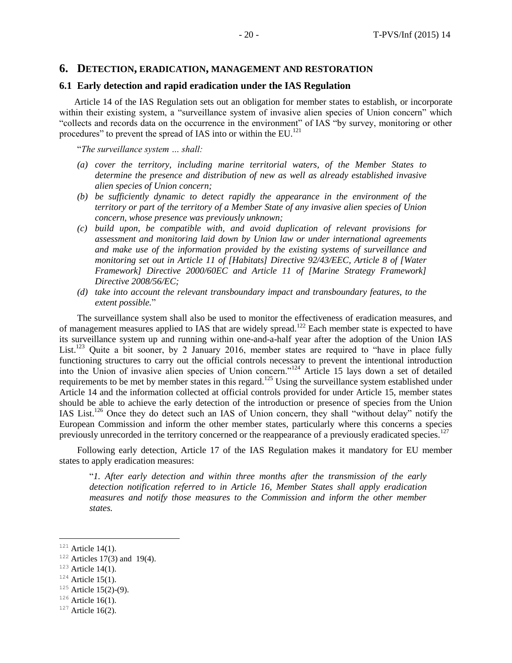#### **6. DETECTION, ERADICATION, MANAGEMENT AND RESTORATION**

## **6.1 Early detection and rapid eradication under the IAS Regulation**

Article 14 of the IAS Regulation sets out an obligation for member states to establish, or incorporate within their existing system, a "surveillance system of invasive alien species of Union concern" which "collects and records data on the occurrence in the environment" of IAS "by survey, monitoring or other procedures" to prevent the spread of IAS into or within the  $EU$ <sup>121</sup>

"*The surveillance system … shall:*

- *(a) cover the territory, including marine territorial waters, of the Member States to determine the presence and distribution of new as well as already established invasive alien species of Union concern;*
- *(b) be sufficiently dynamic to detect rapidly the appearance in the environment of the territory or part of the territory of a Member State of any invasive alien species of Union concern, whose presence was previously unknown;*
- *(c) build upon, be compatible with, and avoid duplication of relevant provisions for assessment and monitoring laid down by Union law or under international agreements and make use of the information provided by the existing systems of surveillance and monitoring set out in Article 11 of [Habitats] Directive 92/43/EEC, Article 8 of [Water Framework] Directive 2000/60EC and Article 11 of [Marine Strategy Framework] Directive 2008/56/EC;*
- *(d) take into account the relevant transboundary impact and transboundary features, to the extent possible.*"

The surveillance system shall also be used to monitor the effectiveness of eradication measures, and of management measures applied to IAS that are widely spread.<sup>122</sup> Each member state is expected to have its surveillance system up and running within one-and-a-half year after the adoption of the Union IAS List.<sup>123</sup> Quite a bit sooner, by 2 January 2016, member states are required to "have in place fully functioning structures to carry out the official controls necessary to prevent the intentional introduction into the Union of invasive alien species of Union concern."<sup>124</sup> Article 15 lays down a set of detailed requirements to be met by member states in this regard.<sup>125</sup> Using the surveillance system established under Article 14 and the information collected at official controls provided for under Article 15, member states should be able to achieve the early detection of the introduction or presence of species from the Union IAS List.<sup>126</sup> Once they do detect such an IAS of Union concern, they shall "without delay" notify the European Commission and inform the other member states, particularly where this concerns a species previously unrecorded in the territory concerned or the reappearance of a previously eradicated species.<sup>127</sup>

Following early detection, Article 17 of the IAS Regulation makes it mandatory for EU member states to apply eradication measures:

"*1. After early detection and within three months after the transmission of the early detection notification referred to in Article 16, Member States shall apply eradication measures and notify those measures to the Commission and inform the other member states.*

 $121$  Article 14(1).

 $122$  Articles 17(3) and 19(4).

 $123$  Article 14(1).

 $124$  Article 15(1).

 $125$  Article 15(2)-(9).

 $126$  Article 16(1).

 $127$  Article 16(2).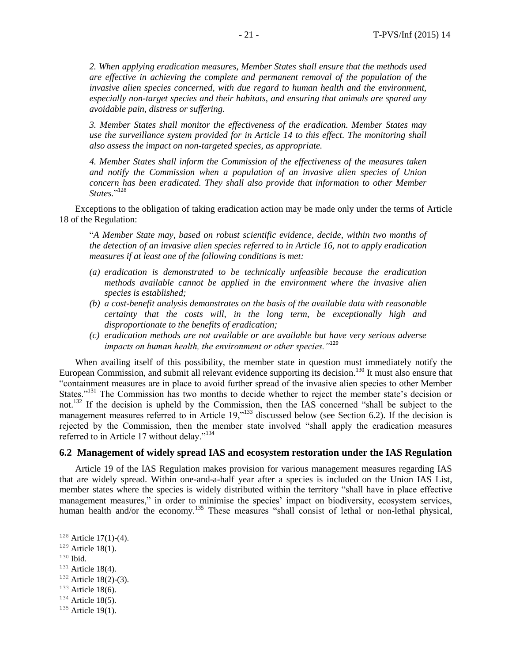*2. When applying eradication measures, Member States shall ensure that the methods used are effective in achieving the complete and permanent removal of the population of the invasive alien species concerned, with due regard to human health and the environment, especially non-target species and their habitats, and ensuring that animals are spared any avoidable pain, distress or suffering.*

*3. Member States shall monitor the effectiveness of the eradication. Member States may use the surveillance system provided for in Article 14 to this effect. The monitoring shall also assess the impact on non-targeted species, as appropriate.*

*4. Member States shall inform the Commission of the effectiveness of the measures taken and notify the Commission when a population of an invasive alien species of Union concern has been eradicated. They shall also provide that information to other Member States.*" 128

Exceptions to the obligation of taking eradication action may be made only under the terms of Article 18 of the Regulation:

"*A Member State may, based on robust scientific evidence, decide, within two months of the detection of an invasive alien species referred to in Article 16, not to apply eradication measures if at least one of the following conditions is met:*

- *(a) eradication is demonstrated to be technically unfeasible because the eradication methods available cannot be applied in the environment where the invasive alien species is established;*
- *(b) a cost-benefit analysis demonstrates on the basis of the available data with reasonable certainty that the costs will, in the long term, be exceptionally high and disproportionate to the benefits of eradication;*
- *(c) eradication methods are not available or are available but have very serious adverse impacts on human health, the environment or other species."*<sup>129</sup>

When availing itself of this possibility, the member state in question must immediately notify the European Commission, and submit all relevant evidence supporting its decision.<sup>130</sup> It must also ensure that "containment measures are in place to avoid further spread of the invasive alien species to other Member States."<sup>131</sup> The Commission has two months to decide whether to reject the member state's decision or not.<sup>132</sup> If the decision is upheld by the Commission, then the IAS concerned "shall be subject to the management measures referred to in Article 19,<sup>"133</sup> discussed below (see Section 6.2). If the decision is rejected by the Commission, then the member state involved "shall apply the eradication measures referred to in Article 17 without delay."<sup>134</sup>

#### **6.2 Management of widely spread IAS and ecosystem restoration under the IAS Regulation**

Article 19 of the IAS Regulation makes provision for various management measures regarding IAS that are widely spread. Within one-and-a-half year after a species is included on the Union IAS List, member states where the species is widely distributed within the territory "shall have in place effective management measures," in order to minimise the species' impact on biodiversity, ecosystem services, human health and/or the economy.<sup>135</sup> These measures "shall consist of lethal or non-lethal physical,

<sup>130</sup> Ibid.

 $\overline{a}$ 

 $133$  Article 18(6).

 $128$  Article 17(1)-(4).

 $129$  Article 18(1).

 $131$  Article 18(4).

 $132$  Article 18(2)-(3).

 $134$  Article 18(5).

 $135$  Article 19(1).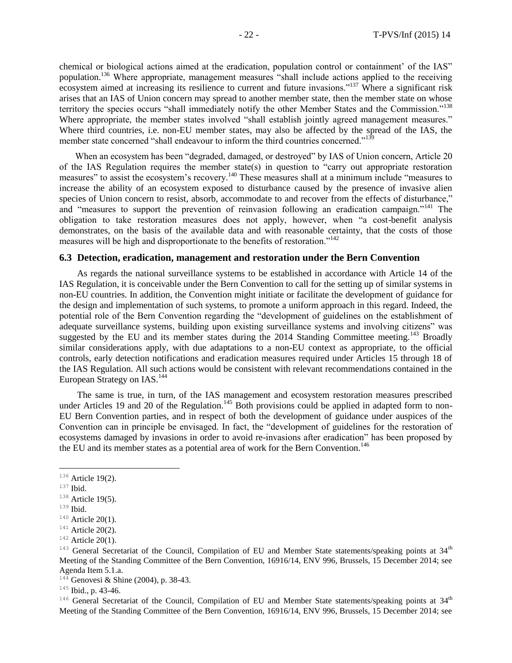chemical or biological actions aimed at the eradication, population control or containment' of the IAS" population.<sup>136</sup> Where appropriate, management measures "shall include actions applied to the receiving ecosystem aimed at increasing its resilience to current and future invasions."<sup>137</sup> Where a significant risk arises that an IAS of Union concern may spread to another member state, then the member state on whose territory the species occurs "shall immediately notify the other Member States and the Commission."<sup>138</sup> Where appropriate, the member states involved "shall establish jointly agreed management measures." Where third countries, i.e. non-EU member states, may also be affected by the spread of the IAS, the member state concerned "shall endeavour to inform the third countries concerned."<sup>139</sup>

When an ecosystem has been "degraded, damaged, or destroyed" by IAS of Union concern, Article 20 of the IAS Regulation requires the member state(s) in question to "carry out appropriate restoration measures" to assist the ecosystem's recovery.<sup>140</sup> These measures shall at a minimum include "measures to increase the ability of an ecosystem exposed to disturbance caused by the presence of invasive alien species of Union concern to resist, absorb, accommodate to and recover from the effects of disturbance," and "measures to support the prevention of reinvasion following an eradication campaign."<sup>141</sup> The obligation to take restoration measures does not apply, however, when "a cost-benefit analysis demonstrates, on the basis of the available data and with reasonable certainty, that the costs of those measures will be high and disproportionate to the benefits of restoration."<sup>142</sup>

#### **6.3 Detection, eradication, management and restoration under the Bern Convention**

As regards the national surveillance systems to be established in accordance with Article 14 of the IAS Regulation, it is conceivable under the Bern Convention to call for the setting up of similar systems in non-EU countries. In addition, the Convention might initiate or facilitate the development of guidance for the design and implementation of such systems, to promote a uniform approach in this regard. Indeed, the potential role of the Bern Convention regarding the "development of guidelines on the establishment of adequate surveillance systems, building upon existing surveillance systems and involving citizens" was suggested by the EU and its member states during the  $2014$  Standing Committee meeting.<sup>143</sup> Broadly similar considerations apply, with due adaptations to a non-EU context as appropriate, to the official controls, early detection notifications and eradication measures required under Articles 15 through 18 of the IAS Regulation. All such actions would be consistent with relevant recommendations contained in the European Strategy on IAS.<sup>144</sup>

The same is true, in turn, of the IAS management and ecosystem restoration measures prescribed under Articles 19 and 20 of the Regulation.<sup>145</sup> Both provisions could be applied in adapted form to non-EU Bern Convention parties, and in respect of both the development of guidance under auspices of the Convention can in principle be envisaged. In fact, the "development of guidelines for the restoration of ecosystems damaged by invasions in order to avoid re-invasions after eradication" has been proposed by the EU and its member states as a potential area of work for the Bern Convention.<sup>146</sup>

 $\overline{a}$ 

 $146$  General Secretariat of the Council, Compilation of EU and Member State statements/speaking points at  $34<sup>th</sup>$ Meeting of the Standing Committee of the Bern Convention, 16916/14, ENV 996, Brussels, 15 December 2014; see

<sup>&</sup>lt;sup>136</sup> Article 19(2).

 $^{137}$  Ibid.

 $138$  Article 19(5).

<sup>139</sup> Ibid.

 $140$  Article 20(1).

 $141$  Article 20(2).

 $142$  Article 20(1).

 $143$  General Secretariat of the Council, Compilation of EU and Member State statements/speaking points at  $34<sup>th</sup>$ Meeting of the Standing Committee of the Bern Convention, 16916/14, ENV 996, Brussels, 15 December 2014; see Agenda Item 5.1.a.

 $14\overline{4}$  Genovesi & Shine (2004), p. 38-43.

<sup>&</sup>lt;sup>145</sup> Ibid., p. 43-46.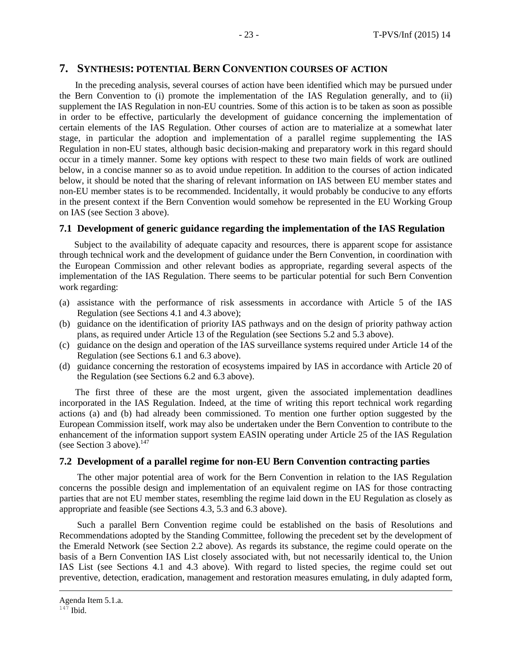## **7. SYNTHESIS: POTENTIAL BERN CONVENTION COURSES OF ACTION**

In the preceding analysis, several courses of action have been identified which may be pursued under the Bern Convention to (i) promote the implementation of the IAS Regulation generally, and to (ii) supplement the IAS Regulation in non-EU countries. Some of this action is to be taken as soon as possible in order to be effective, particularly the development of guidance concerning the implementation of certain elements of the IAS Regulation. Other courses of action are to materialize at a somewhat later stage, in particular the adoption and implementation of a parallel regime supplementing the IAS Regulation in non-EU states, although basic decision-making and preparatory work in this regard should occur in a timely manner. Some key options with respect to these two main fields of work are outlined below, in a concise manner so as to avoid undue repetition. In addition to the courses of action indicated below, it should be noted that the sharing of relevant information on IAS between EU member states and non-EU member states is to be recommended. Incidentally, it would probably be conducive to any efforts in the present context if the Bern Convention would somehow be represented in the EU Working Group on IAS (see Section 3 above).

### **7.1 Development of generic guidance regarding the implementation of the IAS Regulation**

Subject to the availability of adequate capacity and resources, there is apparent scope for assistance through technical work and the development of guidance under the Bern Convention, in coordination with the European Commission and other relevant bodies as appropriate, regarding several aspects of the implementation of the IAS Regulation. There seems to be particular potential for such Bern Convention work regarding:

- (a) assistance with the performance of risk assessments in accordance with Article 5 of the IAS Regulation (see Sections 4.1 and 4.3 above);
- (b) guidance on the identification of priority IAS pathways and on the design of priority pathway action plans, as required under Article 13 of the Regulation (see Sections 5.2 and 5.3 above).
- (c) guidance on the design and operation of the IAS surveillance systems required under Article 14 of the Regulation (see Sections 6.1 and 6.3 above).
- (d) guidance concerning the restoration of ecosystems impaired by IAS in accordance with Article 20 of the Regulation (see Sections 6.2 and 6.3 above).

The first three of these are the most urgent, given the associated implementation deadlines incorporated in the IAS Regulation. Indeed, at the time of writing this report technical work regarding actions (a) and (b) had already been commissioned. To mention one further option suggested by the European Commission itself, work may also be undertaken under the Bern Convention to contribute to the enhancement of the information support system EASIN operating under Article 25 of the IAS Regulation (see Section 3 above). $147$ 

#### **7.2 Development of a parallel regime for non-EU Bern Convention contracting parties**

The other major potential area of work for the Bern Convention in relation to the IAS Regulation concerns the possible design and implementation of an equivalent regime on IAS for those contracting parties that are not EU member states, resembling the regime laid down in the EU Regulation as closely as appropriate and feasible (see Sections 4.3, 5.3 and 6.3 above).

Such a parallel Bern Convention regime could be established on the basis of Resolutions and Recommendations adopted by the Standing Committee, following the precedent set by the development of the Emerald Network (see Section 2.2 above). As regards its substance, the regime could operate on the basis of a Bern Convention IAS List closely associated with, but not necessarily identical to, the Union IAS List (see Sections 4.1 and 4.3 above). With regard to listed species, the regime could set out preventive, detection, eradication, management and restoration measures emulating, in duly adapted form,

Agenda Item 5.1.a.

 $147$  Ibid.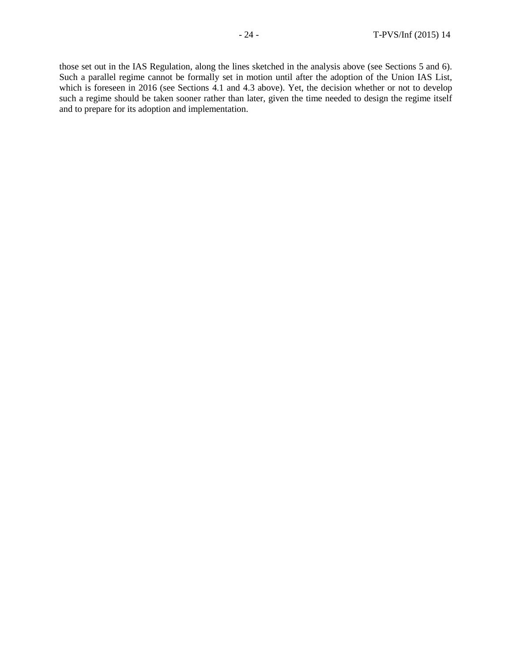those set out in the IAS Regulation, along the lines sketched in the analysis above (see Sections 5 and 6). Such a parallel regime cannot be formally set in motion until after the adoption of the Union IAS List, which is foreseen in 2016 (see Sections 4.1 and 4.3 above). Yet, the decision whether or not to develop such a regime should be taken sooner rather than later, given the time needed to design the regime itself and to prepare for its adoption and implementation.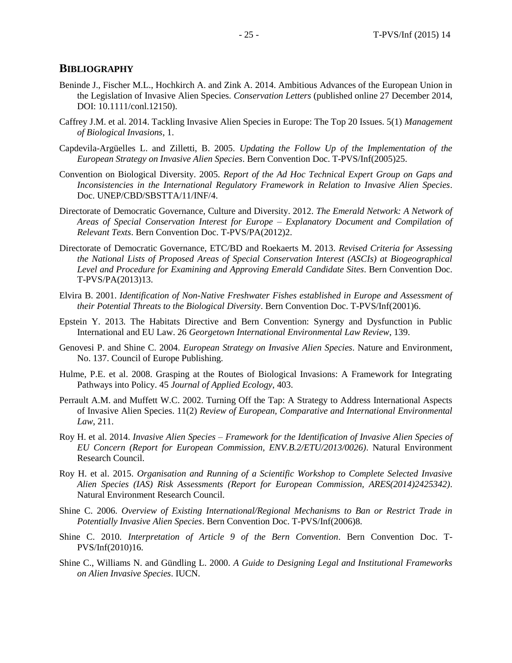#### **BIBLIOGRAPHY**

- Beninde J., Fischer M.L., Hochkirch A. and Zink A. 2014. Ambitious Advances of the European Union in the Legislation of Invasive Alien Species. *Conservation Letters* (published online 27 December 2014, DOI: 10.1111/conl.12150).
- Caffrey J.M. et al. 2014. Tackling Invasive Alien Species in Europe: The Top 20 Issues. 5(1) *Management of Biological Invasions*, 1.
- Capdevila-Argüelles L. and Zilletti, B. 2005. *Updating the Follow Up of the Implementation of the European Strategy on Invasive Alien Species*. Bern Convention Doc. T-PVS/Inf(2005)25.
- Convention on Biological Diversity. 2005. *Report of the Ad Hoc Technical Expert Group on Gaps and Inconsistencies in the International Regulatory Framework in Relation to Invasive Alien Species*. Doc. UNEP/CBD/SBSTTA/11/INF/4.
- Directorate of Democratic Governance, Culture and Diversity. 2012. *The Emerald Network: A Network of Areas of Special Conservation Interest for Europe – Explanatory Document and Compilation of Relevant Texts*. Bern Convention Doc. T-PVS/PA(2012)2.
- Directorate of Democratic Governance, ETC/BD and Roekaerts M. 2013. *Revised Criteria for Assessing the National Lists of Proposed Areas of Special Conservation Interest (ASCIs) at Biogeographical Level and Procedure for Examining and Approving Emerald Candidate Sites*. Bern Convention Doc. T-PVS/PA(2013)13.
- Elvira B. 2001. *Identification of Non-Native Freshwater Fishes established in Europe and Assessment of their Potential Threats to the Biological Diversity*. Bern Convention Doc. T-PVS/Inf(2001)6.
- Epstein Y. 2013. The Habitats Directive and Bern Convention: Synergy and Dysfunction in Public International and EU Law. 26 *Georgetown International Environmental Law Review*, 139.
- Genovesi P. and Shine C. 2004. *European Strategy on Invasive Alien Species*. Nature and Environment, No. 137. Council of Europe Publishing.
- Hulme, P.E. et al. 2008. Grasping at the Routes of Biological Invasions: A Framework for Integrating Pathways into Policy. 45 *Journal of Applied Ecology*, 403.
- Perrault A.M. and Muffett W.C. 2002. Turning Off the Tap: A Strategy to Address International Aspects of Invasive Alien Species. 11(2) *Review of European, Comparative and International Environmental Law*, 211.
- Roy H. et al. 2014. *Invasive Alien Species – Framework for the Identification of Invasive Alien Species of EU Concern (Report for European Commission, ENV.B.2/ETU/2013/0026)*. Natural Environment Research Council.
- Roy H. et al. 2015. *Organisation and Running of a Scientific Workshop to Complete Selected Invasive Alien Species (IAS) Risk Assessments (Report for European Commission, ARES(2014)2425342)*. Natural Environment Research Council.
- Shine C. 2006. *Overview of Existing International/Regional Mechanisms to Ban or Restrict Trade in Potentially Invasive Alien Species*. Bern Convention Doc. T-PVS/Inf(2006)8.
- Shine C. 2010. *Interpretation of Article 9 of the Bern Convention*. Bern Convention Doc. T-PVS/Inf(2010)16.
- Shine C., Williams N. and Gündling L. 2000. *A Guide to Designing Legal and Institutional Frameworks on Alien Invasive Species*. IUCN.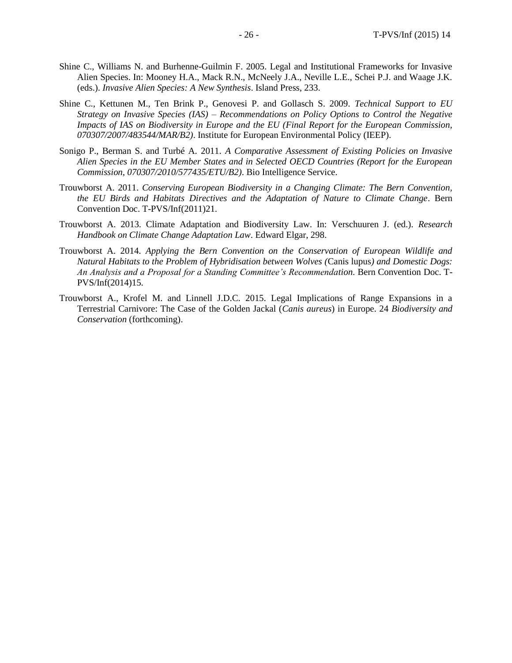- Shine C., Williams N. and Burhenne-Guilmin F. 2005. Legal and Institutional Frameworks for Invasive Alien Species. In: Mooney H.A., Mack R.N., McNeely J.A., Neville L.E., Schei P.J. and Waage J.K. (eds.). *Invasive Alien Species: A New Synthesis*. Island Press, 233.
- Shine C., Kettunen M., Ten Brink P., Genovesi P. and Gollasch S. 2009. *Technical Support to EU Strategy on Invasive Species (IAS) – Recommendations on Policy Options to Control the Negative Impacts of IAS on Biodiversity in Europe and the EU (Final Report for the European Commission, 070307/2007/483544/MAR/B2)*. Institute for European Environmental Policy (IEEP).
- Sonigo P., Berman S. and Turbé A. 2011. *A Comparative Assessment of Existing Policies on Invasive Alien Species in the EU Member States and in Selected OECD Countries (Report for the European Commission, 070307/2010/577435/ETU/B2)*. Bio Intelligence Service.
- Trouwborst A. 2011. *Conserving European Biodiversity in a Changing Climate: The Bern Convention, the EU Birds and Habitats Directives and the Adaptation of Nature to Climate Change*. Bern Convention Doc. T-PVS/Inf(2011)21.
- Trouwborst A. 2013. Climate Adaptation and Biodiversity Law. In: Verschuuren J. (ed.). *Research Handbook on Climate Change Adaptation Law*. Edward Elgar, 298.
- Trouwborst A. 2014. *Applying the Bern Convention on the Conservation of European Wildlife and Natural Habitats to the Problem of Hybridisation between Wolves (*Canis lupus*) and Domestic Dogs: An Analysis and a Proposal for a Standing Committee's Recommendation*. Bern Convention Doc. T-PVS/Inf(2014)15.
- Trouwborst A., Krofel M. and Linnell J.D.C. 2015. Legal Implications of Range Expansions in a Terrestrial Carnivore: The Case of the Golden Jackal (*Canis aureus*) in Europe. 24 *Biodiversity and Conservation* (forthcoming).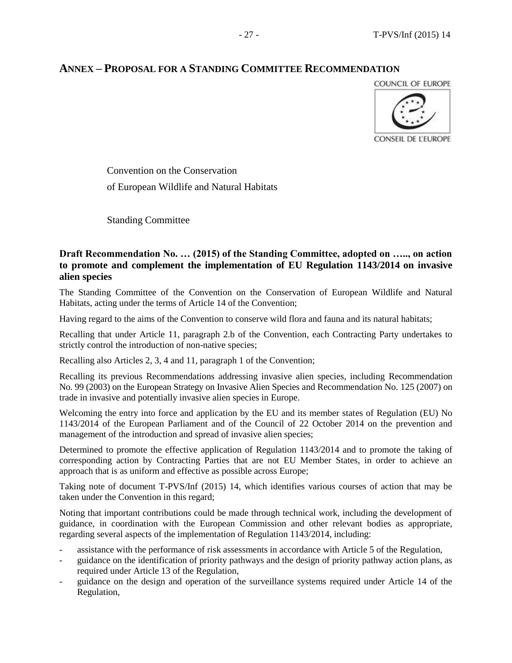## **ANNEX – PROPOSAL FOR A STANDING COMMITTEE RECOMMENDATION**



Convention on the Conservation of European Wildlife and Natural Habitats

Standing Committee

## **Draft Recommendation No. … (2015) of the Standing Committee, adopted on ….., on action to promote and complement the implementation of EU Regulation 1143/2014 on invasive alien species**

The Standing Committee of the Convention on the Conservation of European Wildlife and Natural Habitats, acting under the terms of Article 14 of the Convention;

Having regard to the aims of the Convention to conserve wild flora and fauna and its natural habitats;

Recalling that under Article 11, paragraph 2.b of the Convention, each Contracting Party undertakes to strictly control the introduction of non-native species;

Recalling also Articles 2, 3, 4 and 11, paragraph 1 of the Convention;

Recalling its previous Recommendations addressing invasive alien species, including Recommendation No. 99 (2003) on the European Strategy on Invasive Alien Species and Recommendation No. 125 (2007) on trade in invasive and potentially invasive alien species in Europe.

Welcoming the entry into force and application by the EU and its member states of Regulation (EU) No 1143/2014 of the European Parliament and of the Council of 22 October 2014 on the prevention and management of the introduction and spread of invasive alien species;

Determined to promote the effective application of Regulation 1143/2014 and to promote the taking of corresponding action by Contracting Parties that are not EU Member States, in order to achieve an approach that is as uniform and effective as possible across Europe;

Taking note of document T-PVS/Inf (2015) 14, which identifies various courses of action that may be taken under the Convention in this regard;

Noting that important contributions could be made through technical work, including the development of guidance, in coordination with the European Commission and other relevant bodies as appropriate, regarding several aspects of the implementation of Regulation 1143/2014, including:

- assistance with the performance of risk assessments in accordance with Article 5 of the Regulation,
- guidance on the identification of priority pathways and the design of priority pathway action plans, as required under Article 13 of the Regulation,
- guidance on the design and operation of the surveillance systems required under Article 14 of the Regulation,